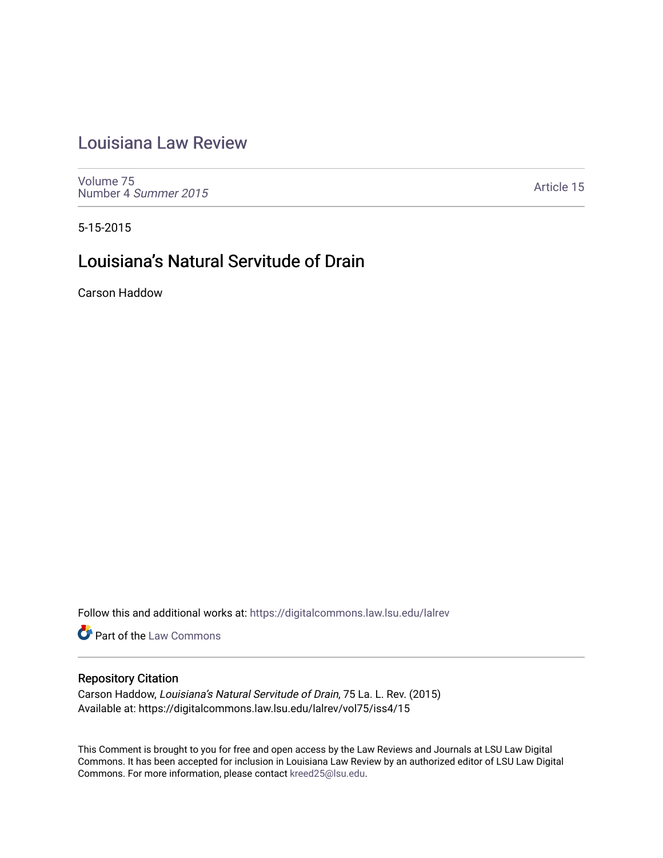## [Louisiana Law Review](https://digitalcommons.law.lsu.edu/lalrev)

[Volume 75](https://digitalcommons.law.lsu.edu/lalrev/vol75) [Number 4](https://digitalcommons.law.lsu.edu/lalrev/vol75/iss4) Summer 2015

[Article 15](https://digitalcommons.law.lsu.edu/lalrev/vol75/iss4/15) 

5-15-2015

# Louisiana's Natural Servitude of Drain

Carson Haddow

Follow this and additional works at: [https://digitalcommons.law.lsu.edu/lalrev](https://digitalcommons.law.lsu.edu/lalrev?utm_source=digitalcommons.law.lsu.edu%2Flalrev%2Fvol75%2Fiss4%2F15&utm_medium=PDF&utm_campaign=PDFCoverPages)

**Part of the [Law Commons](http://network.bepress.com/hgg/discipline/578?utm_source=digitalcommons.law.lsu.edu%2Flalrev%2Fvol75%2Fiss4%2F15&utm_medium=PDF&utm_campaign=PDFCoverPages)** 

## Repository Citation

Carson Haddow, Louisiana's Natural Servitude of Drain, 75 La. L. Rev. (2015) Available at: https://digitalcommons.law.lsu.edu/lalrev/vol75/iss4/15

This Comment is brought to you for free and open access by the Law Reviews and Journals at LSU Law Digital Commons. It has been accepted for inclusion in Louisiana Law Review by an authorized editor of LSU Law Digital Commons. For more information, please contact [kreed25@lsu.edu](mailto:kreed25@lsu.edu).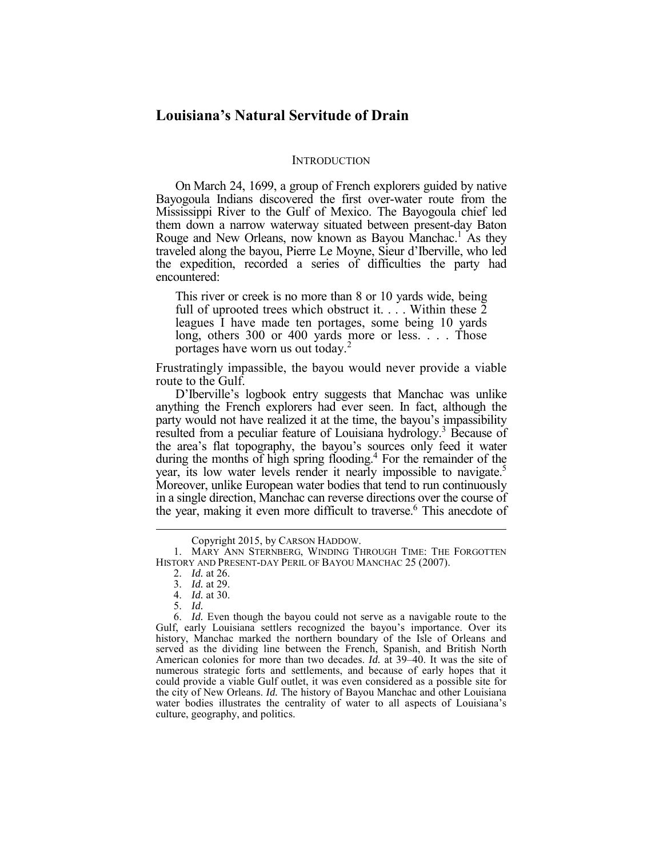## **Louisiana's Natural Servitude of Drain**

#### **INTRODUCTION**

 the expedition, recorded a series of difficulties the party had On March 24, 1699, a group of French explorers guided by native Bayogoula Indians discovered the first over-water route from the Mississippi River to the Gulf of Mexico. The Bayogoula chief led them down a narrow waterway situated between present-day Baton Rouge and New Orleans, now known as Bayou Manchac.<sup>1</sup> As they traveled along the bayou, Pierre Le Moyne, Sieur d'Iberville, who led encountered:

 This river or creek is no more than 8 or 10 yards wide, being full of uprooted trees which obstruct it.  $\ldots$  Within these  $\bar{2}$ leagues I have made ten portages, some being 10 yards long, others 300 or 400 yards more or less. . . . Those portages have worn us out today.<sup>2</sup>

 Frustratingly impassible, the bayou would never provide a viable route to the Gulf.

during the months of high spring flooding.<sup>4</sup> For the remainder of the the year, making it even more difficult to traverse.<sup>6</sup> This anecdote of D'Iberville's logbook entry suggests that Manchac was unlike anything the French explorers had ever seen. In fact, although the party would not have realized it at the time, the bayou's impassibility resulted from a peculiar feature of Louisiana hydrology.<sup>3</sup> Because of the area's flat topography, the bayou's sources only feed it water year, its low water levels render it nearly impossible to navigate.<sup>5</sup> Moreover, unlike European water bodies that tend to run continuously in a single direction, Manchac can reverse directions over the course of

5. *Id.*

 HISTORY AND PRESENT-DAY PERIL OF BAYOU MANCHAC 25 (2007). Copyright 2015, by CARSON HADDOW. 1. MARY ANN STERNBERG, WINDING THROUGH TIME: THE FORGOTTEN

 <sup>2.</sup> *Id.* at 26.

 <sup>3.</sup> *Id.* at 29.

 <sup>4.</sup> *Id.* at 30.

 Gulf, early Louisiana settlers recognized the bayou's importance. Over its history, Manchac marked the northern boundary of the Isle of Orleans and served as the dividing line between the French, Spanish, and British North American colonies for more than two decades. *Id.* at 39–40. It was the site of numerous strategic forts and settlements, and because of early hopes that it could provide a viable Gulf outlet, it was even considered as a possible site for the city of New Orleans. *Id.* The history of Bayou Manchac and other Louisiana water bodies illustrates the centrality of water to all aspects of Louisiana's 6. *Id.* Even though the bayou could not serve as a navigable route to the culture, geography, and politics.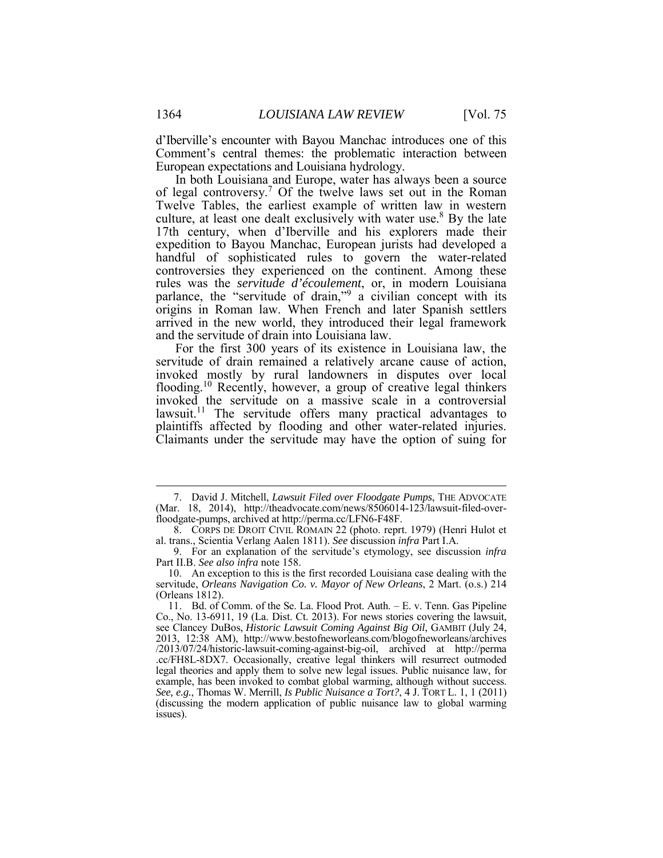d'Iberville's encounter with Bayou Manchac introduces one of this Comment's central themes: the problematic interaction between European expectations and Louisiana hydrology.

 In both Louisiana and Europe, water has always been a source of legal controversy.<sup>7</sup> Of the twelve laws set out in the Roman Twelve Tables, the earliest example of written law in western culture, at least one dealt exclusively with water use.<sup>8</sup> By the late 17th century, when d'Iberville and his explorers made their rules was the *servitude d'écoulement*, or, in modern Louisiana parlance, the "servitude of drain,"<sup>9</sup> a civilian concept with its origins in Roman law. When French and later Spanish settlers expedition to Bayou Manchac, European jurists had developed a handful of sophisticated rules to govern the water-related controversies they experienced on the continent. Among these arrived in the new world, they introduced their legal framework and the servitude of drain into Louisiana law.

servitude of drain remained a relatively arcane cause of action, servitude of drain remained a relatively arcane cause of action, invoked mostly by rural landowners in disputes over local flooding.<sup>10</sup> Recently, however, a group of creative legal thinkers invoked the servitude on a massive scale in a controversial plaintiffs affected by flooding and other water-related injuries. Claimants under the servitude may have the option of suing for For the first 300 years of its existence in Louisiana law, the lawsuit.<sup>11</sup> The servitude offers many practical advantages to

<u>.</u>

<sup>7.</sup> David J. Mitchell, *Lawsuit Filed over Floodgate Pumps*, THE ADVOCATE (Mar. 18, 2014), http://theadvocate.com/news/8506014-123/lawsuit-filed-over- floodgate-pumps, archived at http://perma.cc/LFN6-F48F.

 8. CORPS DE DROIT CIVIL ROMAIN 22 (photo. reprt. 1979) (Henri Hulot et al. trans., Scientia Verlang Aalen 1811). *See* discussion *infra* Part I.A.

 Part II.B. *See also infra* note 158. 9. For an explanation of the servitude's etymology, see discussion *infra* 

 (Orleans 1812). 10. An exception to this is the first recorded Louisiana case dealing with the servitude, *Orleans Navigation Co. v. Mayor of New Orleans*, 2 Mart. (o.s.) 214

 see Clancey DuBos, *Historic Lawsuit Coming Against Big Oil*, GAMBIT (July 24, .cc/FH8L-8DX7. Occasionally, creative legal thinkers will resurrect outmoded example, has been invoked to combat global warming, although without success. *See, e.g.*, Thomas W. Merrill, *Is Public Nuisance a Tort?*, 4 J. TORT L. 1, 1 (2011) (discussing the modern application of public nuisance law to global warming 11. Bd. of Comm. of the Se. La. Flood Prot. Auth. – E. v. Tenn. Gas Pipeline Co., No. 13-6911, 19 (La. Dist. Ct. 2013). For news stories covering the lawsuit, 2013, 12:38 AM), http://www.bestofneworleans.com/blogofneworleans/archives /2013/07/24/historic-lawsuit-coming-against-big-oil, archived at http://perma legal theories and apply them to solve new legal issues. Public nuisance law, for issues).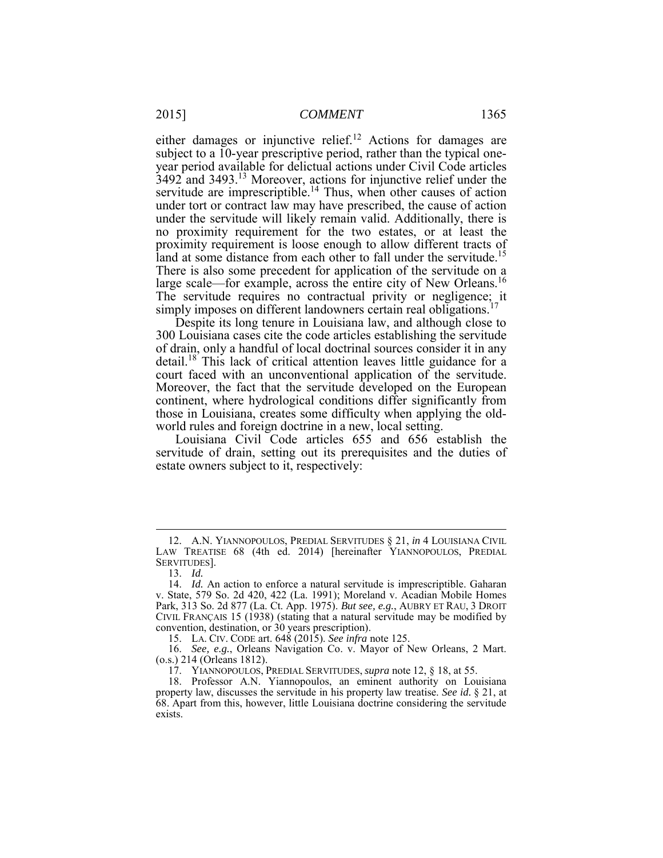either damages or injunctive relief.<sup>12</sup> Actions for damages are under tort or contract law may have prescribed, the cause of action under the servitude will likely remain valid. Additionally, there is no proximity requirement for the two estates, or at least the large scale—for example, across the entire city of New Orleans.<sup>16</sup> The servitude requires no contractual privity or negligence; it subject to a 10-year prescriptive period, rather than the typical oneyear period available for delictual actions under Civil Code articles  $3492$  and 3493.<sup>13</sup> Moreover, actions for injunctive relief under the servitude are imprescriptible.<sup>14</sup> Thus, when other causes of action proximity requirement is loose enough to allow different tracts of land at some distance from each other to fall under the servitude.<sup>15</sup> There is also some precedent for application of the servitude on a simply imposes on different landowners certain real obligations.<sup>17</sup>

 Despite its long tenure in Louisiana law, and although close to detail.<sup>18</sup> This lack of critical attention leaves little guidance for a those in Louisiana, creates some difficulty when applying the old-300 Louisiana cases cite the code articles establishing the servitude of drain, only a handful of local doctrinal sources consider it in any court faced with an unconventional application of the servitude. Moreover, the fact that the servitude developed on the European continent, where hydrological conditions differ significantly from world rules and foreign doctrine in a new, local setting.

 Louisiana Civil Code articles 655 and 656 establish the servitude of drain, setting out its prerequisites and the duties of estate owners subject to it, respectively:

<sup>12.</sup> A.N. YIANNOPOULOS, PREDIAL SERVITUDES § 21, *in* 4 LOUISIANA CIVIL LAW TREATISE 68 (4th ed. 2014) [hereinafter YIANNOPOULOS, PREDIAL SERVITUDES].

<sup>13.</sup> *Id.* 

 14. *Id.* An action to enforce a natural servitude is imprescriptible. Gaharan v. State, 579 So. 2d 420, 422 (La. 1991); Moreland v. Acadian Mobile Homes Park, 313 So. 2d 877 (La. Ct. App. 1975). *But see, e.g.*, AUBRY ET RAU, 3 DROIT CIVIL FRANÇAIS 15 (1938) (stating that a natural servitude may be modified by convention, destination, or 30 years prescription).

 15. LA. CIV. CODE art. 648 (2015). *See infra* note 125.

 16. *See, e.g.*, Orleans Navigation Co. v. Mayor of New Orleans, 2 Mart. (o.s.) 214 (Orleans 1812).

 17. YIANNOPOULOS, PREDIAL SERVITUDES, *supra* note 12, § 18, at 55.

 18. Professor A.N. Yiannopoulos, an eminent authority on Louisiana property law, discusses the servitude in his property law treatise. *See id.* § 21, at 68. Apart from this, however, little Louisiana doctrine considering the servitude exists.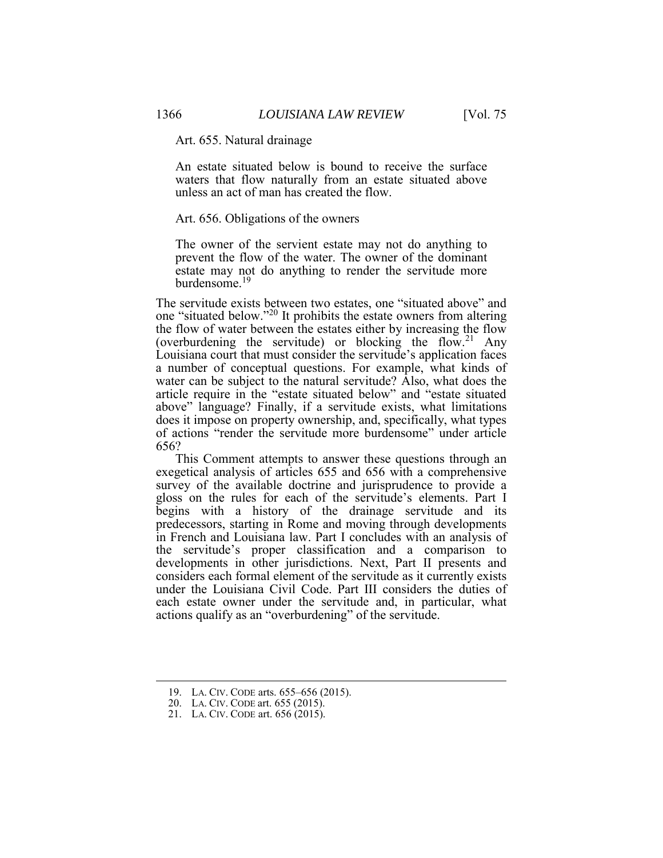Art. 655. Natural drainage

An estate situated below is bound to receive the surface waters that flow naturally from an estate situated above unless an act of man has created the flow.

#### Art. 656. Obligations of the owners

 prevent the flow of the water. The owner of the dominant The owner of the servient estate may not do anything to estate may not do anything to render the servitude more burdensome<sup>19</sup>

 the flow of water between the estates either by increasing the flow a number of conceptual questions. For example, what kinds of article require in the "estate situated below" and "estate situated above" language? Finally, if a servitude exists, what limitations 656? The servitude exists between two estates, one "situated above" and one "situated below."<sup>20</sup> It prohibits the estate owners from altering (overburdening the servitude) or blocking the flow.<sup>21</sup> Any Louisiana court that must consider the servitude's application faces water can be subject to the natural servitude? Also, what does the does it impose on property ownership, and, specifically, what types of actions "render the servitude more burdensome" under article

 begins with a history of the drainage servitude and its the servitude's proper classification and a comparison to considers each formal element of the servitude as it currently exists This Comment attempts to answer these questions through an exegetical analysis of articles 655 and 656 with a comprehensive survey of the available doctrine and jurisprudence to provide a gloss on the rules for each of the servitude's elements. Part I predecessors, starting in Rome and moving through developments in French and Louisiana law. Part I concludes with an analysis of developments in other jurisdictions. Next, Part II presents and under the Louisiana Civil Code. Part III considers the duties of each estate owner under the servitude and, in particular, what actions qualify as an "overburdening" of the servitude.

<u>.</u>

<sup>19.</sup> LA. CIV. CODE arts. 655–656 (2015).

<sup>20.</sup> LA. CIV. CODE art. 655 (2015).

<sup>21.</sup> LA. CIV. CODE art. 656 (2015).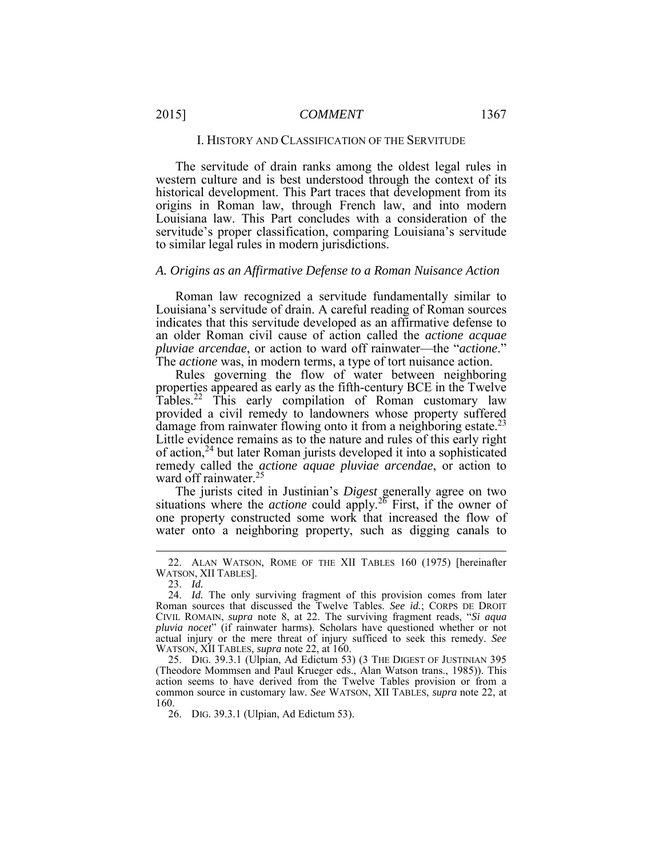The servitude of drain ranks among the oldest legal rules in western culture and is best understood through the context of its historical development. This Part traces that development from its origins in Roman law, through French law, and into modern Louisiana law. This Part concludes with a consideration of the servitude's proper classification, comparing Louisiana's servitude to similar legal rules in modern jurisdictions.

#### *A. Origins as an Affirmative Defense to a Roman Nuisance Action*

 an older Roman civil cause of action called the *actione acquae*  Roman law recognized a servitude fundamentally similar to Louisiana's servitude of drain. A careful reading of Roman sources indicates that this servitude developed as an affirmative defense to *pluviae arcendae*, or action to ward off rainwater—the "*actione*." The *actione* was, in modern terms, a type of tort nuisance action.

Tables.<sup>22</sup> This early compilation of Roman customary law Little evidence remains as to the nature and rules of this early right remedy called the *actione aquae pluviae arcendae*, or action to Rules governing the flow of water between neighboring properties appeared as early as the fifth-century BCE in the Twelve provided a civil remedy to landowners whose property suffered damage from rainwater flowing onto it from a neighboring estate.<sup>23</sup> of action,24 but later Roman jurists developed it into a sophisticated ward off rainwater.<sup>25</sup>

 water onto a neighboring property, such as digging canals to The jurists cited in Justinian's *Digest* generally agree on two situations where the *actione* could apply.26 First, if the owner of one property constructed some work that increased the flow of

 $\overline{a}$ 

 25. DIG. 39.3.1 (Ulpian, Ad Edictum 53) (3 THE DIGEST OF JUSTINIAN 395 (Theodore Mommsen and Paul Krueger eds., Alan Watson trans., 1985)). This action seems to have derived from the Twelve Tables provision or from a common source in customary law. *See* WATSON, XII TABLES, *supra* note 22, at 160.

26. DIG. 39.3.1 (Ulpian, Ad Edictum 53).

 WATSON, XII TABLES]. 22. ALAN WATSON, ROME OF THE XII TABLES 160 (1975) [hereinafter

<sup>23.</sup> *Id.* 

 24. *Id.* The only surviving fragment of this provision comes from later actual injury or the mere threat of injury sufficed to seek this remedy. *See*  WATSON, XII TABLES, *supra* note 22, at 160. Roman sources that discussed the Twelve Tables. *See id.*; CORPS DE DROIT CIVIL ROMAIN, *supra* note 8, at 22. The surviving fragment reads, "*Si aqua pluvia nocet*" (if rainwater harms). Scholars have questioned whether or not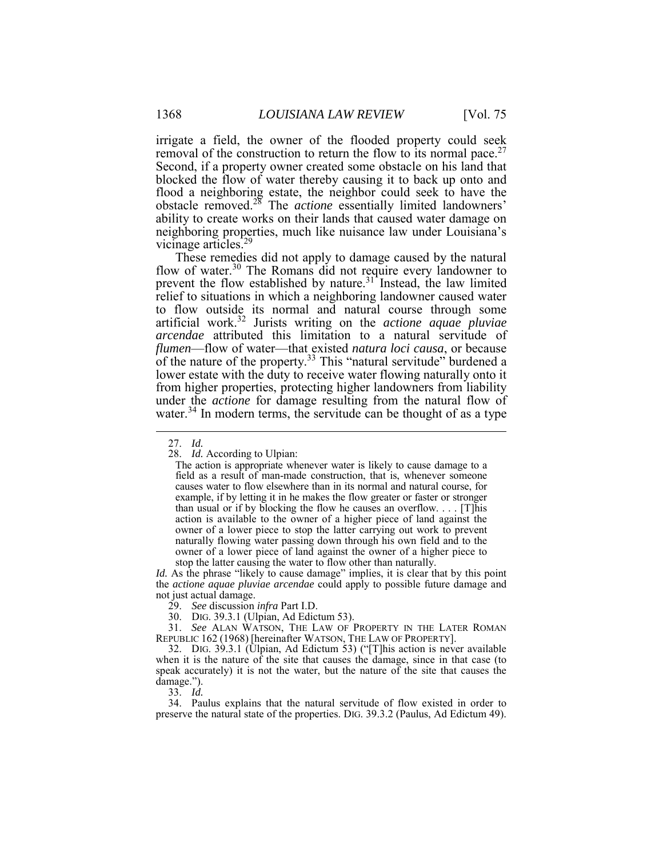Second, if a property owner created some obstacle on his land that blocked the flow of water thereby causing it to back up onto and ability to create works on their lands that caused water damage on vicinage articles.<sup>29</sup> irrigate a field, the owner of the flooded property could seek removal of the construction to return the flow to its normal pace.<sup>27</sup> flood a neighboring estate, the neighbor could seek to have the obstacle removed.<sup>28</sup> The *actione* essentially limited landowners' neighboring properties, much like nuisance law under Louisiana's

 These remedies did not apply to damage caused by the natural prevent the flow established by nature.<sup>31</sup> Instead, the law limited to flow outside its normal and natural course through some artificial work.<sup>32</sup> Jurists writing on the *actione aquae pluviae arcendae* attributed this limitation to a natural servitude of under the *actione* for damage resulting from the natural flow of flow of water.<sup>30</sup> The Romans did not require every landowner to relief to situations in which a neighboring landowner caused water *flumen*—flow of water—that existed *natura loci causa*, or because of the nature of the property.<sup>33</sup> This "natural servitude" burdened a lower estate with the duty to receive water flowing naturally onto it from higher properties, protecting higher landowners from liability water.<sup>34</sup> In modern terms, the servitude can be thought of as a type

 $\overline{a}$ 

*Id.* As the phrase "likely to cause damage" implies, it is clear that by this point the *actione aquae pluviae arcendae* could apply to possible future damage and not just actual damage.

 31. *See* ALAN WATSON, THE LAW OF PROPERTY IN THE LATER ROMAN REPUBLIC 162 (1968) [hereinafter WATSON, THE LAW OF PROPERTY].

 33. *Id.* 34. Paulus explains that the natural servitude of flow existed in order to preserve the natural state of the properties. DIG. 39.3.2 (Paulus, Ad Edictum 49).

<sup>27.</sup> *Id.* 

 28. *Id.* According to Ulpian:

 The action is appropriate whenever water is likely to cause damage to a field as a result of man-made construction, that is, whenever someone causes water to flow elsewhere than in its normal and natural course, for example, if by letting it in he makes the flow greater or faster or stronger action is available to the owner of a higher piece of land against the owner of a lower piece to stop the latter carrying out work to prevent naturally flowing water passing down through his own field and to the owner of a lower piece of land against the owner of a higher piece to than usual or if by blocking the flow he causes an overflow. . . . [T]his stop the latter causing the water to flow other than naturally.

<sup>29.</sup> *See* discussion *infra* Part I.D.

<sup>30.</sup> DIG. 39.3.1 (Ulpian, Ad Edictum 53).

 32. DIG. 39.3.1 (Ulpian, Ad Edictum 53) ("[T]his action is never available when it is the nature of the site that causes the damage, since in that case (to speak accurately) it is not the water, but the nature of the site that causes the damage.").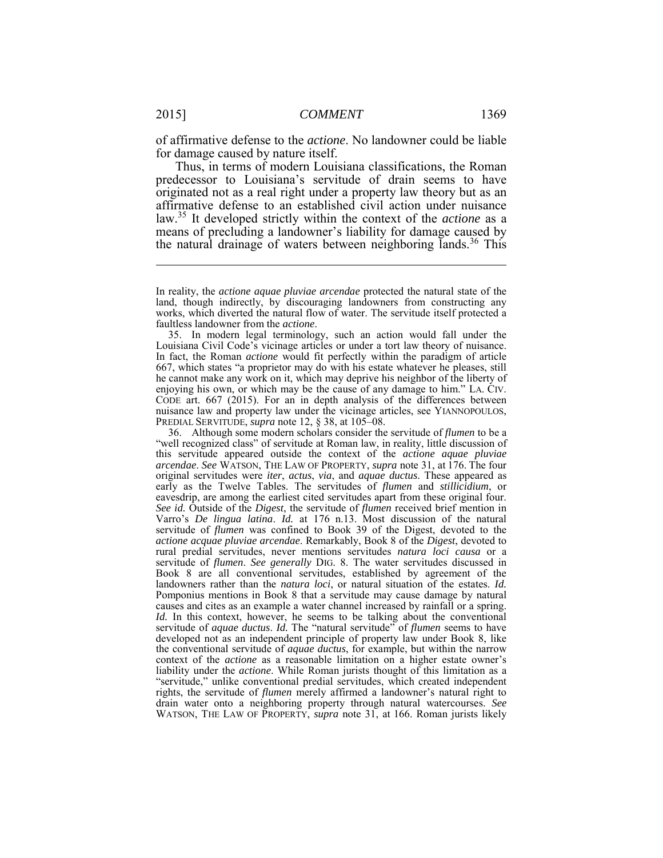of affirmative defense to the *actione*. No landowner could be liable for damage caused by nature itself.

 predecessor to Louisiana's servitude of drain seems to have originated not as a real right under a property law theory but as an means of precluding a landowner's liability for damage caused by the natural drainage of waters between neighboring lands.<sup>36</sup> This Thus, in terms of modern Louisiana classifications, the Roman affirmative defense to an established civil action under nuisance law.35 It developed strictly within the context of the *actione* as a

 Louisiana Civil Code's vicinage articles or under a tort law theory of nuisance. In fact, the Roman *actione* would fit perfectly within the paradigm of article 667, which states "a proprietor may do with his estate whatever he pleases, still he cannot make any work on it, which may deprive his neighbor of the liberty of enjoying his own, or which may be the cause of any damage to him." LA. CIV. nuisance law and property law under the vicinage articles, see YIANNOPOULOS, PREDIAL SERVITUDE, *supra* note 12, § 38, at 105–08. 35. In modern legal terminology, such an action would fall under the CODE art. 667 (2015). For an in depth analysis of the differences between

 *arcendae*. *See* WATSON, THE LAW OF PROPERTY, *supra* note 31, at 176. The four early as the Twelve Tables. The servitudes of *flumen* and *stillicidium*, or eavesdrip, are among the earliest cited servitudes apart from these original four. *See id.* Outside of the *Digest*, the servitude of *flumen* received brief mention in Varro's *De lingua latina*. *Id.* at 176 n.13. Most discussion of the natural servitude of *flumen* was confined to Book 39 of the Digest, devoted to the rural predial servitudes, never mentions servitudes *natura loci causa* or a servitude of *flumen*. *See generally* DIG. 8. The water servitudes discussed in Book 8 are all conventional servitudes, established by agreement of the Pomponius mentions in Book 8 that a servitude may cause damage by natural causes and cites as an example a water channel increased by rainfall or a spring. servitude of *aquae ductus*. *Id.* The "natural servitude" of *flumen* seems to have developed not as an independent principle of property law under Book 8, like context of the *actione* as a reasonable limitation on a higher estate owner's "servitude," unlike conventional predial servitudes, which created independent rights, the servitude of *flumen* merely affirmed a landowner's natural right to WATSON, THE LAW OF PROPERTY, *supra* note 31, at 166. Roman jurists likely36. Although some modern scholars consider the servitude of *flumen* to be a "well recognized class" of servitude at Roman law, in reality, little discussion of this servitude appeared outside the context of the *actione aquae pluviae*  original servitudes were *iter*, *actus*, *via*, and *aquae ductus*. These appeared as *actione acquae pluviae arcendae*. Remarkably, Book 8 of the *Digest*, devoted to landowners rather than the *natura loci*, or natural situation of the estates. *Id. Id.* In this context, however, he seems to be talking about the conventional the conventional servitude of *aquae ductus*, for example, but within the narrow liability under the *actione*. While Roman jurists thought of this limitation as a drain water onto a neighboring property through natural watercourses. *See* 

1

 In reality, the *actione aquae pluviae arcendae* protected the natural state of the land, though indirectly, by discouraging landowners from constructing any works, which diverted the natural flow of water. The servitude itself protected a faultless landowner from the *actione*.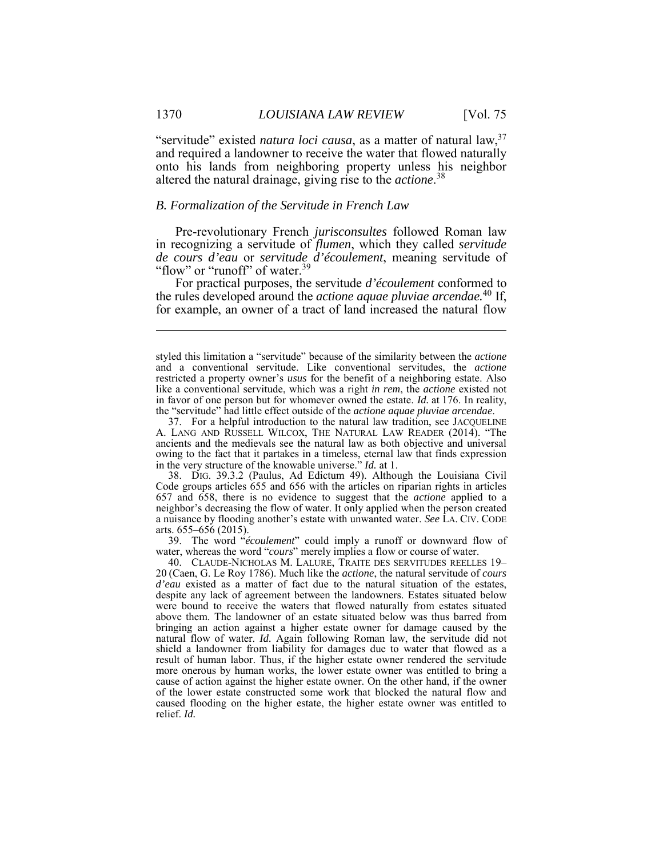and required a landowner to receive the water that flowed naturally "servitude" existed *natura loci causa*, as a matter of natural law,<sup>37</sup> onto his lands from neighboring property unless his neighbor altered the natural drainage, giving rise to the *actione*. 38

#### *B. Formalization of the Servitude in French Law*

 in recognizing a servitude of *flumen*, which they called *servitude*  Pre-revolutionary French *jurisconsultes* followed Roman law *de cours d'eau* or *servitude d'écoulement*, meaning servitude of "flow" or "runoff" of water.<sup>39</sup>

 for example, an owner of a tract of land increased the natural flow For practical purposes, the servitude *d'écoulement* conformed to the rules developed around the *actione aquae pluviae arcendae.*40 If,

 owing to the fact that it partakes in a timeless, eternal law that finds expression in the very structure of the knowable universe." *Id.* at 1. 37. For a helpful introduction to the natural law tradition, see JACQUELINE A. LANG AND RUSSELL WILCOX, THE NATURAL LAW READER (2014). "The ancients and the medievals see the natural law as both objective and universal

 38. DIG. 39.3.2 (Paulus, Ad Edictum 49). Although the Louisiana Civil 657 and 658, there is no evidence to suggest that the *actione* applied to a neighbor's decreasing the flow of water. It only applied when the person created a nuisance by flooding another's estate with unwanted water. *See* LA. CIV. CODE Code groups articles 655 and 656 with the articles on riparian rights in articles arts. 655–656 (2015).

39. The word "*écoulement*" could imply a runoff or downward flow of water, whereas the word "*cours*" merely implies a flow or course of water.

 despite any lack of agreement between the landowners. Estates situated below were bound to receive the waters that flowed naturally from estates situated bringing an action against a higher estate owner for damage caused by the shield a landowner from liability for damages due to water that flowed as a more onerous by human works, the lower estate owner was entitled to bring a of the lower estate constructed some work that blocked the natural flow and 40. CLAUDE-NICHOLAS M. LALURE, TRAITE DES SERVITUDES REELLES 19– 20 (Caen, G. Le Roy 1786). Much like the *actione*, the natural servitude of *cours d'eau* existed as a matter of fact due to the natural situation of the estates, above them. The landowner of an estate situated below was thus barred from natural flow of water. *Id.* Again following Roman law, the servitude did not result of human labor. Thus, if the higher estate owner rendered the servitude cause of action against the higher estate owner. On the other hand, if the owner caused flooding on the higher estate, the higher estate owner was entitled to relief. *Id.* 

1

 styled this limitation a "servitude" because of the similarity between the *actione*  and a conventional servitude. Like conventional servitudes, the *actione*  like a conventional servitude, which was a right *in rem*, the *actione* existed not in favor of one person but for whomever owned the estate. *Id.* at 176. In reality, restricted a property owner's *usus* for the benefit of a neighboring estate. Also the "servitude" had little effect outside of the *actione aquae pluviae arcendae*.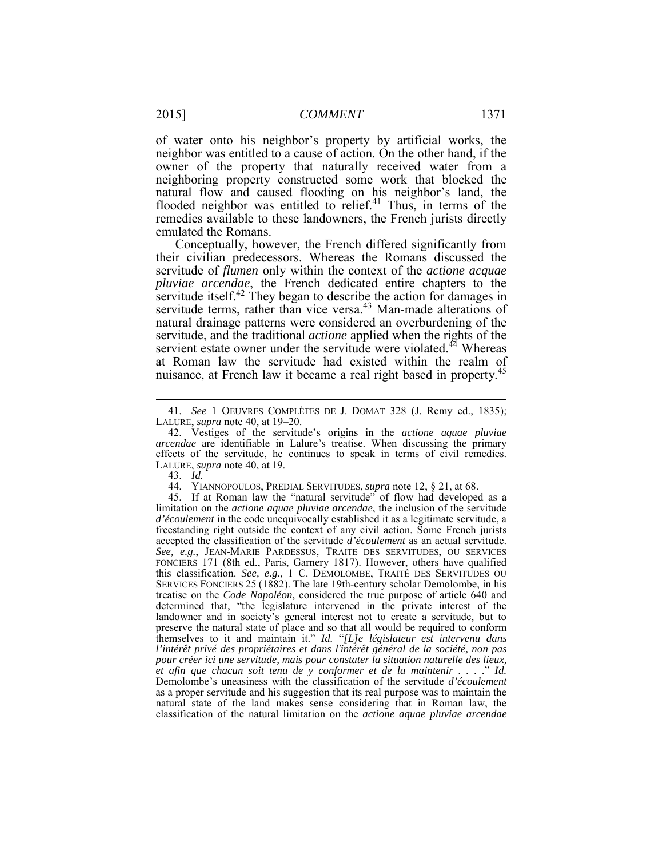of water onto his neighbor's property by artificial works, the neighbor was entitled to a cause of action. On the other hand, if the neighboring property constructed some work that blocked the owner of the property that naturally received water from a natural flow and caused flooding on his neighbor's land, the flooded neighbor was entitled to relief.<sup>41</sup> Thus, in terms of the remedies available to these landowners, the French jurists directly emulated the Romans.

 Conceptually, however, the French differed significantly from servitude itself.<sup>42</sup> They began to describe the action for damages in natural drainage patterns were considered an overburdening of the at Roman law the servitude had existed within the realm of nuisance, at French law it became a real right based in property.<sup>45</sup> their civilian predecessors. Whereas the Romans discussed the servitude of *flumen* only within the context of the *actione acquae pluviae arcendae*, the French dedicated entire chapters to the servitude terms, rather than vice versa.<sup>43</sup> Man-made alterations of servitude, and the traditional *actione* applied when the rights of the servient estate owner under the servitude were violated.<sup>44</sup> Whereas

1

44. YIANNOPOULOS, PREDIAL SERVITUDES, *supra* note 12, § 21, at 68.

 freestanding right outside the context of any civil action. Some French jurists FONCIERS 171 (8th ed., Paris, Garnery 1817). However, others have qualified this classification. *See, e.g.*, 1 C. DEMOLOMBE, TRAITÉ DES SERVITUDES OU SERVICES FONCIERS 25 (1882). The late 19th-century scholar Demolombe, in his treatise on the *Code Napoléon*, considered the true purpose of article 640 and themselves to it and maintain it." *Id.* "*[L]e législateur est intervenu dans*  Demolombe's uneasiness with the classification of the servitude *d'écoulement*  as a proper servitude and his suggestion that its real purpose was to maintain the 45. If at Roman law the "natural servitude" of flow had developed as a limitation on the *actione aquae pluviae arcendae*, the inclusion of the servitude *d'écoulement* in the code unequivocally established it as a legitimate servitude, a accepted the classification of the servitude *d'écoulement* as an actual servitude. *See, e.g.*, JEAN-MARIE PARDESSUS, TRAITE DES SERVITUDES, OU SERVICES determined that, "the legislature intervened in the private interest of the landowner and in society's general interest not to create a servitude, but to preserve the natural state of place and so that all would be required to conform *l'intérêt privé des propriétaires et dans l'intérêt général de la société, non pas pour créer ici une servitude, mais pour constater la situation naturelle des lieux, et afin que chacun soit tenu de y conformer et de la maintenir . . . .*" *Id.*  natural state of the land makes sense considering that in Roman law, the classification of the natural limitation on the *actione aquae pluviae arcendae* 

 LALURE, *supra* note 40, at 19–20. 41. *See* 1 OEUVRES COMPLÈTES DE J. DOMAT 328 (J. Remy ed., 1835);

 effects of the servitude, he continues to speak in terms of civil remedies. 42. Vestiges of the servitude's origins in the *actione aquae pluviae arcendae* are identifiable in Lalure's treatise. When discussing the primary LALURE, *supra* note 40, at 19.

<sup>43.</sup> *Id.*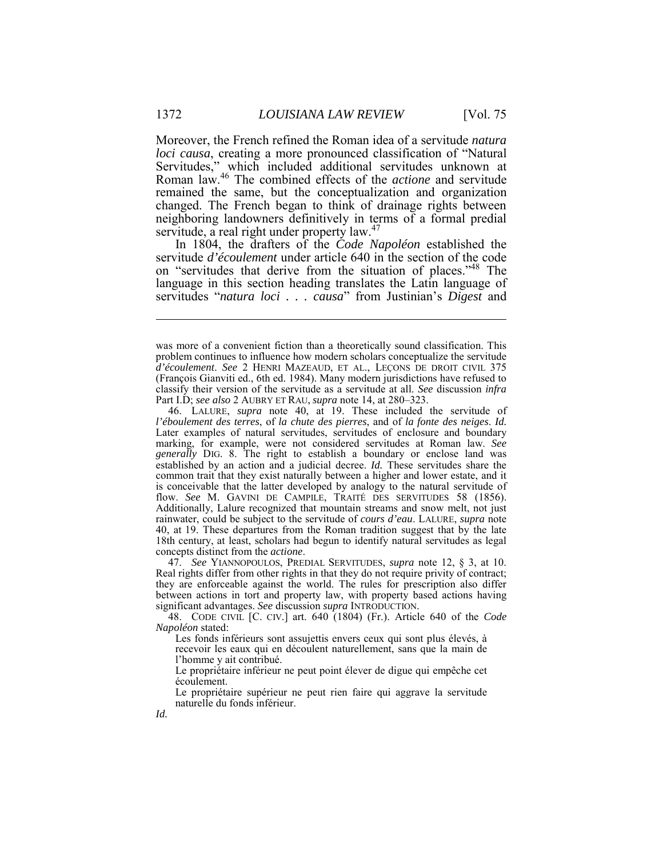changed. The French began to think of drainage rights between neighboring landowners definitively in terms of a formal predial servitude, a real right under property law.<sup>47</sup> Moreover, the French refined the Roman idea of a servitude *natura loci causa*, creating a more pronounced classification of "Natural Servitudes," which included additional servitudes unknown at Roman law.<sup>46</sup> The combined effects of the *actione* and servitude remained the same, but the conceptualization and organization

 In 1804, the drafters of the *Code Napoléon* established the on "servitudes that derive from the situation of places."<sup>48</sup> The language in this section heading translates the Latin language of servitude *d'écoulement* under article 640 in the section of the code servitudes "*natura loci . . . causa*" from Justinian's *Digest* and

 47. *See* YIANNOPOULOS, PREDIAL SERVITUDES, *supra* note 12, § 3, at 10. Real rights differ from other rights in that they do not require privity of contract; between actions in tort and property law, with property based actions having they are enforceable against the world. The rules for prescription also differ significant advantages. *See* discussion *supra* INTRODUCTION.

 48. CODE CIVIL [C. CIV.] art. 640 (1804) (Fr.). Article 640 of the *Code Napoléon* stated:

 recevoir les eaux qui en découlent naturellement, sans que la main de Les fonds inférieurs sont assujettis envers ceux qui sont plus élevés, à l'homme y ait contribué.

 Le propriétaire inférieur ne peut point élever de digue qui empêche cet écoulement.

 Le propriétaire supérieur ne peut rien faire qui aggrave la servitude naturelle du fonds inférieur.

*Id.* 

1

 was more of a convenient fiction than a theoretically sound classification. This *d'écoulement*. *See* 2 HENRI MAZEAUD, ET AL., LEÇONS DE DROIT CIVIL 375 (François Gianviti ed., 6th ed. 1984). Many modern jurisdictions have refused to Part I.D; *see also* 2 AUBRY ET RAU, *supra* note 14, at 280–323. problem continues to influence how modern scholars conceptualize the servitude classify their version of the servitude as a servitude at all. *See* discussion *infra* 

 Later examples of natural servitudes, servitudes of enclosure and boundary *generally* DIG. 8. The right to establish a boundary or enclose land was established by an action and a judicial decree. *Id.* These servitudes share the common trait that they exist naturally between a higher and lower estate, and it Additionally, Lalure recognized that mountain streams and snow melt, not just 40, at 19. These departures from the Roman tradition suggest that by the late 18th century, at least, scholars had begun to identify natural servitudes as legal concepts distinct from the *actione*. 46. LALURE, *supra* note 40, at 19. These included the servitude of *l'éboulement des terres*, of *la chute des pierres*, and of *la fonte des neiges*. *Id.*  marking, for example, were not considered servitudes at Roman law. *See*  is conceivable that the latter developed by analogy to the natural servitude of flow. *See* M. GAVINI DE CAMPILE, TRAITÉ DES SERVITUDES 58 (1856). rainwater, could be subject to the servitude of *cours d'eau*. LALURE, *supra* note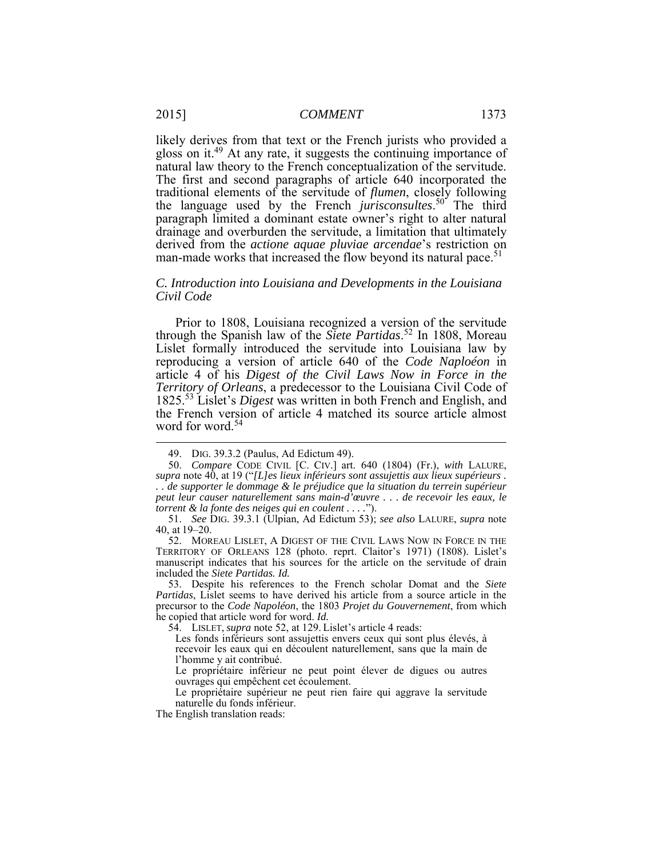gloss on it.<sup>49</sup> At any rate, it suggests the continuing importance of natural law theory to the French conceptualization of the servitude. traditional elements of the servitude of *flumen*, closely following the language used by the French *jurisconsultes*. <sup>50</sup> The third paragraph limited a dominant estate owner's right to alter natural drainage and overburden the servitude, a limitation that ultimately man-made works that increased the flow beyond its natural pace.<sup>51</sup> likely derives from that text or the French jurists who provided a The first and second paragraphs of article 640 incorporated the derived from the *actione aquae pluviae arcendae*'s restriction on

#### *C. Introduction into Louisiana and Developments in the Louisiana Civil Code*

 Prior to 1808, Louisiana recognized a version of the servitude article 4 of his *Digest of the Civil Laws Now in Force in the Territory of Orleans*, a predecessor to the Louisiana Civil Code of the French version of article 4 matched its source article almost through the Spanish law of the *Siete Partidas*. <sup>52</sup> In 1808, Moreau Lislet formally introduced the servitude into Louisiana law by reproducing a version of article 640 of the *Code Naploéon* in 1825.<sup>53</sup> Lislet's *Digest* was written in both French and English, and word for word.<sup>54</sup>

<sup>49.</sup> DIG. 39.3.2 (Paulus, Ad Edictum 49).

 50. *Compare* CODE CIVIL [C. CIV.] art. 640 (1804) (Fr.), *with* LALURE, *supra* note 40, at 19 ("*[L]es lieux inférieurs sont assujettis aux lieux supérieurs . . . de supporter le dommage & le préjudice que la situation du terrein supérieur peut leur causer naturellement sans main-d'œuvre . . . de recevoir les eaux, le torrent & la fonte des neiges qui en coulent . . . .*").

<sup>51.</sup> *See* DIG. 39.3.1 (Ulpian, Ad Edictum 53); *see also* LALURE, *supra* note 40, at 19–20.

 52. MOREAU LISLET, A DIGEST OF THE CIVIL LAWS NOW IN FORCE IN THE TERRITORY OF ORLEANS 128 (photo. reprt. Claitor's 1971) (1808). Lislet's manuscript indicates that his sources for the article on the servitude of drain included the *Siete Partidas. Id.* 

 53. Despite his references to the French scholar Domat and the *Siete Partidas*, Lislet seems to have derived his article from a source article in the precursor to the *Code Napoléon*, the 1803 *Projet du Gouvernement*, from which he copied that article word for word. *Id.* 

<sup>54.</sup> LISLET, *supra* note 52, at 129. Lislet's article 4 reads:

 recevoir les eaux qui en découlent naturellement, sans que la main de Les fonds inférieurs sont assujettis envers ceux qui sont plus élevés, à l'homme y ait contribué.

 Le propriétaire inférieur ne peut point élever de digues ou autres ouvrages qui empêchent cet écoulement.

 Le propriétaire supérieur ne peut rien faire qui aggrave la servitude naturelle du fonds inférieur.

 The English translation reads: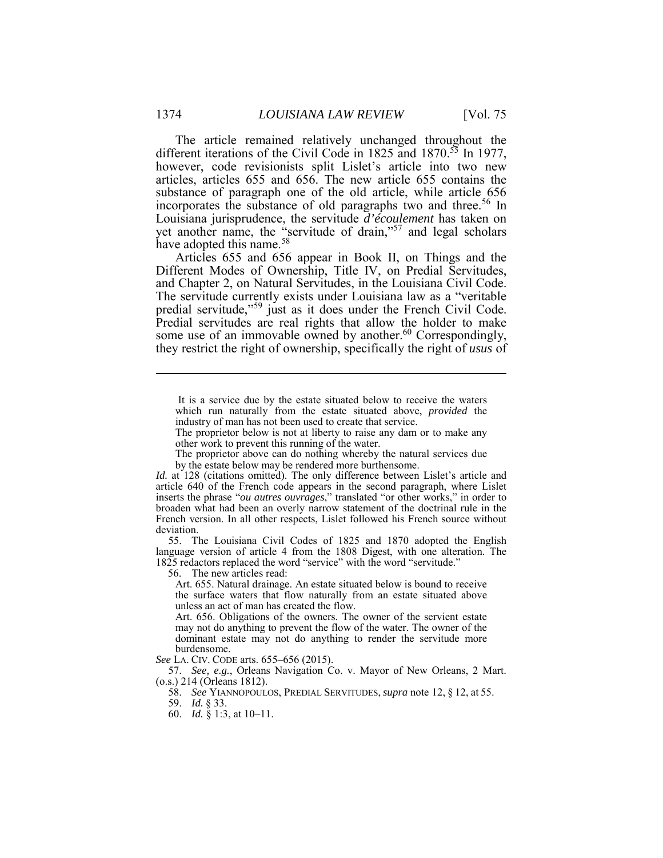different iterations of the Civil Code in 1825 and 1870.<sup>55</sup> In 1977, have adopted this name.<sup>58</sup> The article remained relatively unchanged throughout the however, code revisionists split Lislet's article into two new articles, articles 655 and 656. The new article 655 contains the substance of paragraph one of the old article, while article 656 incorporates the substance of old paragraphs two and three.<sup>56</sup> In Louisiana jurisprudence, the servitude *d'écoulement* has taken on yet another name, the "servitude of drain,"<sup>57</sup> and legal scholars

 Articles 655 and 656 appear in Book II, on Things and the predial servitude,"<sup>59</sup> just as it does under the French Civil Code. Predial servitudes are real rights that allow the holder to make some use of an immovable owned by another.<sup>60</sup> Correspondingly, they restrict the right of ownership, specifically the right of *usus* of Different Modes of Ownership, Title IV, on Predial Servitudes, and Chapter 2, on Natural Servitudes, in the Louisiana Civil Code. The servitude currently exists under Louisiana law as a "veritable

 It is a service due by the estate situated below to receive the waters which run naturally from the estate situated above, *provided* the industry of man has not been used to create that service.

 The proprietor below is not at liberty to raise any dam or to make any other work to prevent this running of the water.

 The proprietor above can do nothing whereby the natural services due by the estate below may be rendered more burthensome.

 *Id.* at 128 (citations omitted). The only difference between Lislet's article and inserts the phrase "*ou autres ouvrages*," translated "or other works," in order to French version. In all other respects, Lislet followed his French source without article 640 of the French code appears in the second paragraph, where Lislet broaden what had been an overly narrow statement of the doctrinal rule in the deviation.

 language version of article 4 from the 1808 Digest, with one alteration. The 1825 redactors replaced the word "service" with the word "servitude." 55. The Louisiana Civil Codes of 1825 and 1870 adopted the English

56. The new articles read:

 the surface waters that flow naturally from an estate situated above Art. 655. Natural drainage. An estate situated below is bound to receive unless an act of man has created the flow.

 Art. 656. Obligations of the owners. The owner of the servient estate may not do anything to prevent the flow of the water. The owner of the dominant estate may not do anything to render the servitude more burdensome.

*See* LA. CIV. CODE arts. 655–656 (2015).

 57. *See, e.g.*, Orleans Navigation Co. v. Mayor of New Orleans, 2 Mart. (o.s.) 214 (Orleans 1812).

58. *See* YIANNOPOULOS, PREDIAL SERVITUDES, *supra* note 12, § 12, at 55.

60. *Id.* § 1:3, at 10–11.

1

<sup>59.</sup> *Id.* § 33.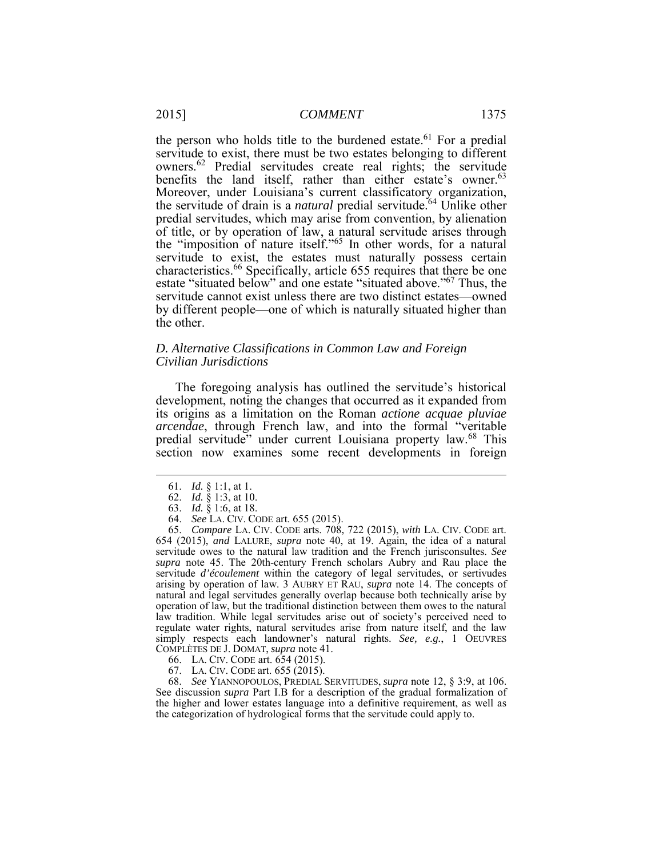servitude to exist, there must be two estates belonging to different owners.<sup>62</sup> Predial servitudes create real rights; the servitude Moreover, under Louisiana's current classificatory organization, the servitude of drain is a *natural* predial servitude.<sup>64</sup> Unlike other predial servitudes, which may arise from convention, by alienation Ì estate "situated below" and one estate "situated above."<sup>67</sup> Thus, the the person who holds title to the burdened estate.<sup>61</sup> For a predial benefits the land itself, rather than either estate's owner.<sup>63</sup> Moreover, under Louisiana's current classificatory organization, of title, or by operation of law, a natural servitude arises through the "imposition of nature itself."<sup>65</sup> In other words, for a natural servitude to exist, the estates must naturally possess certain characteristics.<sup>66</sup> Specifically, article 655 requires that there be one servitude cannot exist unless there are two distinct estates—owned by different people—one of which is naturally situated higher than the other.

### *Civilian Jurisdictions D. Alternative Classifications in Common Law and Foreign*

 The foregoing analysis has outlined the servitude's historical section now examines some recent developments in foreign development, noting the changes that occurred as it expanded from its origins as a limitation on the Roman *actione acquae pluviae arcendae*, through French law, and into the formal "veritable predial servitude" under current Louisiana property law.68 This

<u>.</u>

64. *See* LA. CIV. CODE art. 655 (2015).

 65. *Compare* LA. CIV. CODE arts. 708, 722 (2015), *with* LA. CIV. CODE art. 654 (2015), *and* LALURE, *supra* note 40, at 19. Again, the idea of a natural servitude owes to the natural law tradition and the French jurisconsultes. *See supra* note 45. The 20th-century French scholars Aubry and Rau place the servitude *d'écoulement* within the category of legal servitudes, or sertivudes natural and legal servitudes generally overlap because both technically arise by regulate water rights, natural servitudes arise from nature itself, and the law simply respects each landowner's natural rights. *See, e.g.*, 1 OEUVRES COMPLÈTES DE J. DOMAT, *supra* note 41. arising by operation of law. 3 AUBRY ET RAU, *supra* note 14. The concepts of operation of law, but the traditional distinction between them owes to the natural law tradition. While legal servitudes arise out of society's perceived need to

- 66. LA. CIV. CODE art. 654 (2015).
- 67. LA. CIV. CODE art. 655 (2015).

 See discussion *supra* Part I.B for a description of the gradual formalization of the higher and lower estates language into a definitive requirement, as well as the categorization of hydrological forms that the servitude could apply to.68. *See* YIANNOPOULOS, PREDIAL SERVITUDES, *supra* note 12, § 3:9, at 106.

<sup>61.</sup> *Id.* § 1:1, at 1.

<sup>62.</sup> *Id.* § 1:3, at 10.

<sup>63.</sup> *Id.* § 1:6, at 18.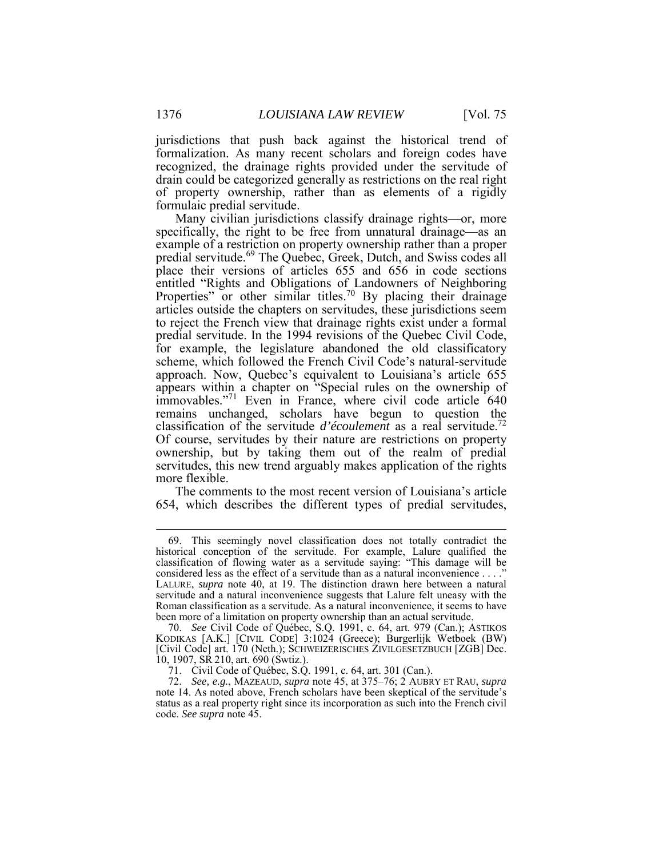jurisdictions that push back against the historical trend of recognized, the drainage rights provided under the servitude of of property ownership, rather than as elements of a rigidly formalization. As many recent scholars and foreign codes have drain could be categorized generally as restrictions on the real right formulaic predial servitude.

 Many civilian jurisdictions classify drainage rights—or, more Properties" or other similar titles.<sup>70</sup> By placing their drainage scheme, which followed the French Civil Code's natural-servitude appears within a chapter on "Special rules on the ownership of immovables."<sup>71</sup> Even in France, where civil code article 640 classification of the servitude *d'écoulement* as a real servitude.72 ownership, but by taking them out of the realm of predial specifically, the right to be free from unnatural drainage—as an example of a restriction on property ownership rather than a proper predial servitude.<sup>69</sup> The Quebec, Greek, Dutch, and Swiss codes all place their versions of articles 655 and 656 in code sections entitled "Rights and Obligations of Landowners of Neighboring articles outside the chapters on servitudes, these jurisdictions seem to reject the French view that drainage rights exist under a formal predial servitude. In the 1994 revisions of the Quebec Civil Code, for example, the legislature abandoned the old classificatory approach. Now, Quebec's equivalent to Louisiana's article 655 remains unchanged, scholars have begun to question the Of course, servitudes by their nature are restrictions on property servitudes, this new trend arguably makes application of the rights more flexible.

 The comments to the most recent version of Louisiana's article 654, which describes the different types of predial servitudes,

 classification of flowing water as a servitude saying: "This damage will be considered less as the effect of a servitude than as a natural inconvenience . . . ." LALURE, *supra* note 40, at 19. The distinction drawn here between a natural servitude and a natural inconvenience suggests that Lalure felt uneasy with the been more of a limitation on property ownership than an actual servitude. 69. This seemingly novel classification does not totally contradict the historical conception of the servitude. For example, Lalure qualified the Roman classification as a servitude. As a natural inconvenience, it seems to have

 70. *See* Civil Code of Québec, S.Q. 1991, c. 64, art. 979 (Can.); ASTIKOS KODIKAS [A.K.] [CIVIL CODE] 3:1024 (Greece); Burgerlijk Wetboek (BW) [Civil Code] art. 170 (Neth.); SCHWEIZERISCHES ZIVILGESETZBUCH [ZGB] Dec. 10, 1907, SR 210, art. 690 (Swtiz.).

 71. Civil Code of Québec, S.Q. 1991, c. 64, art. 301 (Can.).

 72. *See, e.g.*, MAZEAUD, *supra* note 45, at 375–76; 2 AUBRY ET RAU, *supra* note 14. As noted above, French scholars have been skeptical of the servitude's status as a real property right since its incorporation as such into the French civil code. *See supra* note 45.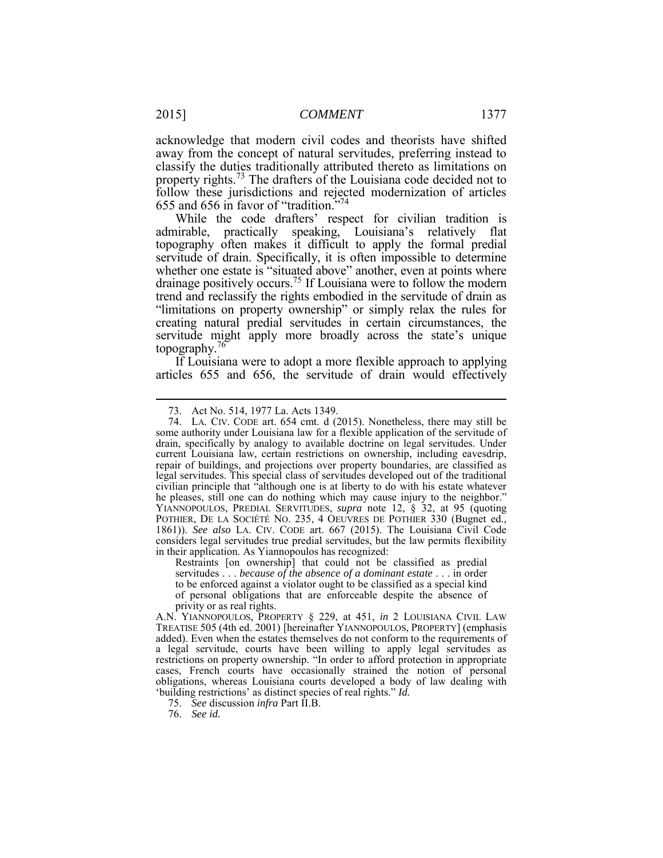away from the concept of natural servitudes, preferring instead to classify the duties traditionally attributed thereto as limitations on acknowledge that modern civil codes and theorists have shifted property rights.<sup>73</sup> The drafters of the Louisiana code decided not to follow these jurisdictions and rejected modernization of articles 655 and 656 in favor of "tradition."74

 While the code drafters' respect for civilian tradition is admirable, practically speaking, Louisiana's relatively flat topography often makes it difficult to apply the formal predial servitude of drain. Specifically, it is often impossible to determine whether one estate is "situated above" another, even at points where drainage positively occurs.<sup>75</sup> If Louisiana were to follow the modern trend and reclassify the rights embodied in the servitude of drain as "limitations on property ownership" or simply relax the rules for creating natural predial servitudes in certain circumstances, the servitude might apply more broadly across the state's unique topography.<sup>76</sup>

 If Louisiana were to adopt a more flexible approach to applying articles 655 and 656, the servitude of drain would effectively

<sup>73.</sup> Act No. 514, 1977 La. Acts 1349.

 some authority under Louisiana law for a flexible application of the servitude of drain, specifically by analogy to available doctrine on legal servitudes. Under legal servitudes. This special class of servitudes developed out of the traditional civilian principle that "although one is at liberty to do with his estate whatever he pleases, still one can do nothing which may cause injury to the neighbor." YIANNOPOULOS, PREDIAL SERVITUDES, *supra* note 12, § 32, at 95 (quoting 1861)). *See also* LA. CIV. CODE art. 667 (2015). The Louisiana Civil Code considers legal servitudes true predial servitudes, but the law permits flexibility in their application. As Yiannopoulos has recognized: 74. LA. CIV. CODE art. 654 cmt. d (2015). Nonetheless, there may still be current Louisiana law, certain restrictions on ownership, including eavesdrip, repair of buildings, and projections over property boundaries, are classified as POTHIER, DE LA SOCIÉTÉ NO. 235, 4 OEUVRES DE POTHIER 330 (Bugnet ed.,

 Restraints [on ownership] that could not be classified as predial to be enforced against a violator ought to be classified as a special kind servitudes . . . *because of the absence of a dominant estate* . . . in order of personal obligations that are enforceable despite the absence of privity or as real rights.

 A.N. YIANNOPOULOS, PROPERTY § 229, at 451, *in* 2 LOUISIANA CIVIL LAW added). Even when the estates themselves do not conform to the requirements of a legal servitude, courts have been willing to apply legal servitudes as restrictions on property ownership. "In order to afford protection in appropriate 'building restrictions' as distinct species of real rights." *Id.*  TREATISE 505 (4th ed. 2001) [hereinafter YIANNOPOULOS, PROPERTY] (emphasis cases, French courts have occasionally strained the notion of personal obligations, whereas Louisiana courts developed a body of law dealing with

<sup>75.</sup> *See* discussion *infra* Part II.B.

<sup>76.</sup> *See id.*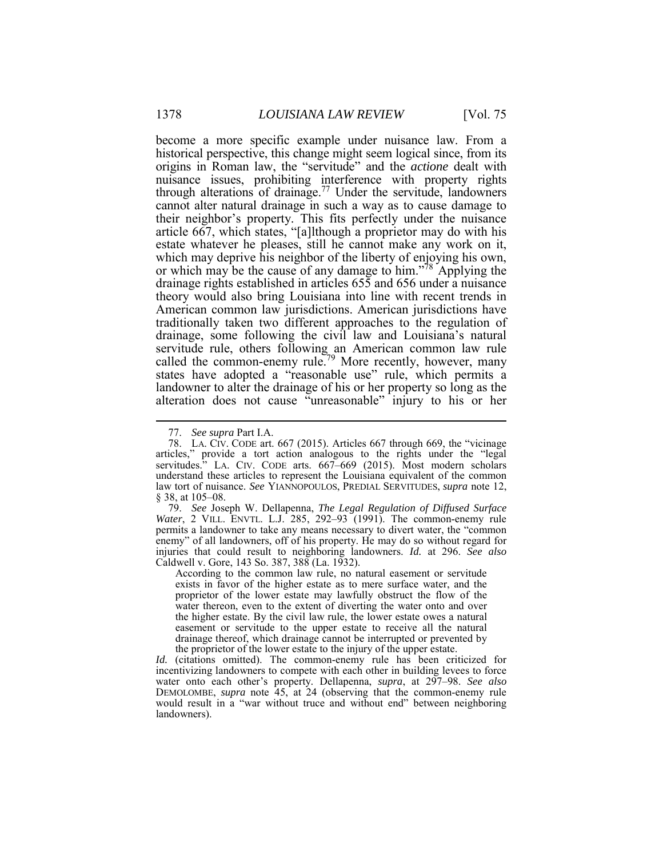become a more specific example under nuisance law. From a historical perspective, this change might seem logical since, from its nuisance issues, prohibiting interference with property rights through alterations of drainage.<sup>77</sup> Under the servitude, landowners cannot alter natural drainage in such a way as to cause damage to article 667, which states, "[a]lthough a proprietor may do with his estate whatever he pleases, still he cannot make any work on it, which may deprive his neighbor of the liberty of enjoying his own, which may deprive his neighbor of the liberty of enjoying his own, traditionally taken two different approaches to the regulation of servitude rule, others following an American common law rule landowner to alter the drainage of his or her property so long as the origins in Roman law, the "servitude" and the *actione* dealt with their neighbor's property. This fits perfectly under the nuisance or which may be the cause of any damage to him."<sup>78</sup> Applying the drainage rights established in articles 655 and 656 under a nuisance theory would also bring Louisiana into line with recent trends in American common law jurisdictions. American jurisdictions have drainage, some following the civil law and Louisiana's natural called the common-enemy rule.<sup>79</sup> More recently, however, many states have adopted a "reasonable use" rule, which permits a alteration does not cause "unreasonable" injury to his or her

 $\overline{a}$ 

 According to the common law rule, no natural easement or servitude proprietor of the lower estate may lawfully obstruct the flow of the water thereon, even to the extent of diverting the water onto and over drainage thereof, which drainage cannot be interrupted or prevented by the proprietor of the lower estate to the injury of the upper estate. exists in favor of the higher estate as to mere surface water, and the the higher estate. By the civil law rule, the lower estate owes a natural easement or servitude to the upper estate to receive all the natural

 *Id.* (citations omitted). The common-enemy rule has been criticized for water onto each other's property. Dellapenna, *supra*, at 297–98. *See also*  incentivizing landowners to compete with each other in building levees to force DEMOLOMBE, *supra* note 45, at 24 (observing that the common-enemy rule would result in a "war without truce and without end" between neighboring landowners).

<sup>77.</sup> *See supra* Part I.A.

 78. LA. CIV. CODE art. 667 (2015). Articles 667 through 669, the "vicinage articles," provide a tort action analogous to the rights under the "legal servitudes." LA. CIV. CODE arts. 667–669 (2015). Most modern scholars understand these articles to represent the Louisiana equivalent of the common law tort of nuisance. *See* YIANNOPOULOS, PREDIAL SERVITUDES, *supra* note 12, § 38, at 105–08.

 permits a landowner to take any means necessary to divert water, the "common injuries that could result to neighboring landowners. *Id.* at 296. *See also*  79. *See* Joseph W. Dellapenna, *The Legal Regulation of Diffused Surface Water*, 2 VILL. ENVTL. L.J. 285, 292–93 (1991). The common-enemy rule enemy" of all landowners, off of his property. He may do so without regard for Caldwell v. Gore, 143 So. 387, 388 (La. 1932).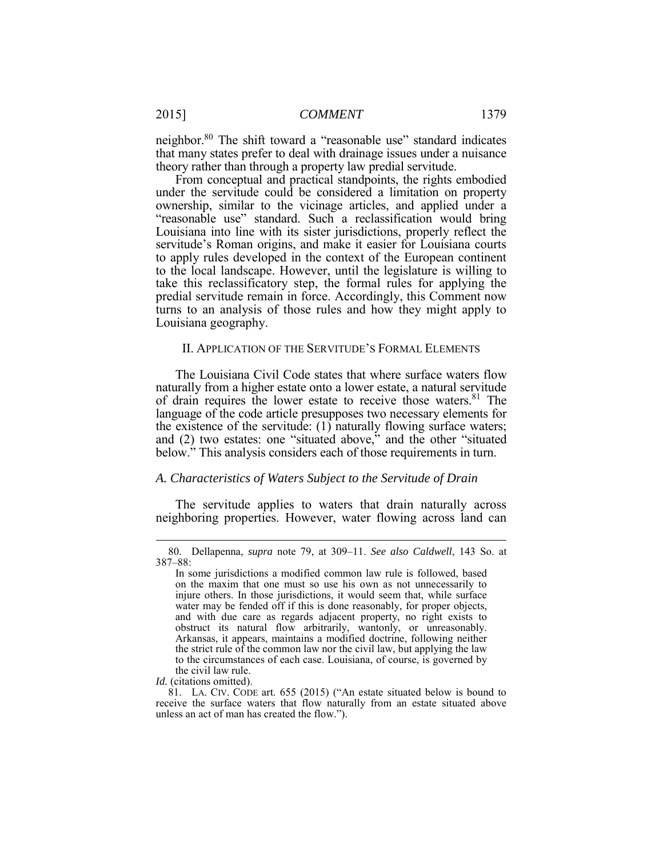neighbor.<sup>80</sup> The shift toward a "reasonable use" standard indicates that many states prefer to deal with drainage issues under a nuisance theory rather than through a property law predial servitude.

 From conceptual and practical standpoints, the rights embodied under the servitude could be considered a limitation on property ownership, similar to the vicinage articles, and applied under a "reasonable use" standard. Such a reclassification would bring Louisiana into line with its sister jurisdictions, properly reflect the servitude's Roman origins, and make it easier for Louisiana courts to the local landscape. However, until the legislature is willing to Louisiana geography. to apply rules developed in the context of the European continent take this reclassificatory step, the formal rules for applying the predial servitude remain in force. Accordingly, this Comment now turns to an analysis of those rules and how they might apply to

#### II. APPLICATION OF THE SERVITUDE'S FORMAL ELEMENTS

 The Louisiana Civil Code states that where surface waters flow the existence of the servitude: (1) naturally flowing surface waters; naturally from a higher estate onto a lower estate, a natural servitude of drain requires the lower estate to receive those waters.<sup>81</sup> The language of the code article presupposes two necessary elements for and (2) two estates: one "situated above," and the other "situated below." This analysis considers each of those requirements in turn.

#### *A. Characteristics of Waters Subject to the Servitude of Drain*

 The servitude applies to waters that drain naturally across neighboring properties. However, water flowing across land can

<sup>80.</sup> Dellapenna, *supra* note 79, at 309–11. *See also Caldwell*, 143 So. at 387–88:

 In some jurisdictions a modified common law rule is followed, based on the maxim that one must so use his own as not unnecessarily to injure others. In those jurisdictions, it would seem that, while surface water may be fended off if this is done reasonably, for proper objects, and with due care as regards adjacent property, no right exists to Arkansas, it appears, maintains a modified doctrine, following neither to the circumstances of each case. Louisiana, of course, is governed by obstruct its natural flow arbitrarily, wantonly, or unreasonably. the strict rule of the common law nor the civil law, but applying the law the civil law rule.

*Id.* (citations omitted).

 81. LA. CIV. CODE art. 655 (2015) ("An estate situated below is bound to receive the surface waters that flow naturally from an estate situated above unless an act of man has created the flow.").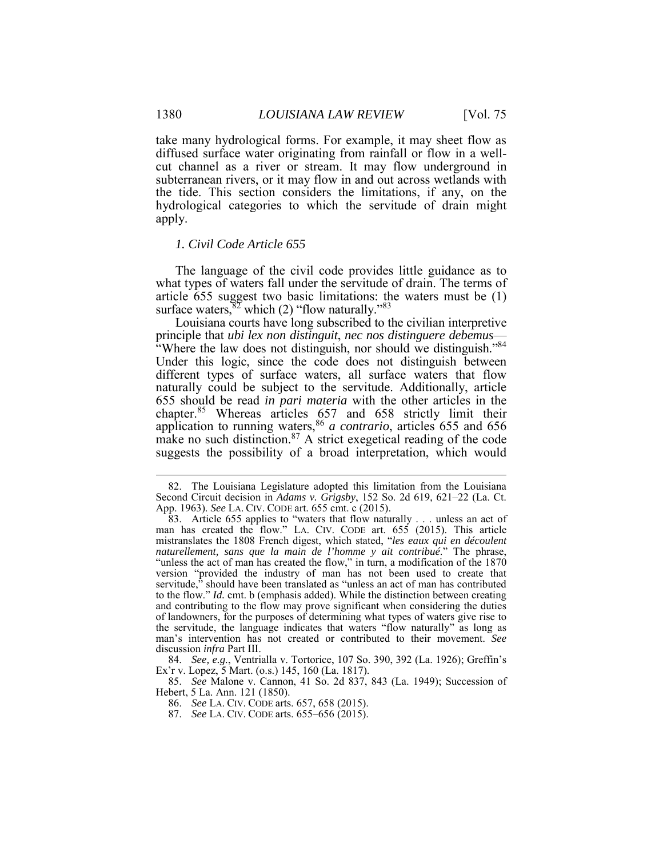take many hydrological forms. For example, it may sheet flow as diffused surface water originating from rainfall or flow in a well- cut channel as a river or stream. It may flow underground in subterranean rivers, or it may flow in and out across wetlands with the tide. This section considers the limitations, if any, on the hydrological categories to which the servitude of drain might apply.

#### *1. Civil Code Article 655*

 The language of the civil code provides little guidance as to surface waters,  $82$  which (2) "flow naturally."  $83$ what types of waters fall under the servitude of drain. The terms of article 655 suggest two basic limitations: the waters must be (1)

 Louisiana courts have long subscribed to the civilian interpretive principle that *ubi lex non distinguit*, *nec nos distinguere debemus*—<br>"Where the law does not distinguish, nor should we distinguish."<sup>84</sup> Under this logic, since the code does not distinguish between different types of surface waters, all surface waters that flow 655 should be read *in pari materia* with the other articles in the chapter.<sup>85</sup> Whereas articles 657 and 658 strictly limit their make no such distinction.<sup>87</sup> A strict exegetical reading of the code suggests the possibility of a broad interpretation, which would naturally could be subject to the servitude. Additionally, article application to running waters,<sup>86</sup> *a contrario*, articles 655 and 656

85. *See* Malone v. Cannon, 41 So. 2d 837, 843 (La. 1949); Succession of Hebert, 5 La. Ann. 121 (1850).

- 86. *See* LA. CIV. CODE arts. 657, 658 (2015).
- 87. *See* LA. CIV. CODE arts. 655–656 (2015).

<u>.</u>

 Second Circuit decision in *Adams v. Grigsby*, 152 So. 2d 619, 621–22 (La. Ct. App. 1963). *See* LA. CIV. CODE art. 655 cmt. c (2015). 82. The Louisiana Legislature adopted this limitation from the Louisiana

 83. Article 655 applies to "waters that flow naturally . . . unless an act of man has created the flow." LA. CIV. CODE art. 655 (2015). This article mistranslates the 1808 French digest, which stated, "*les eaux qui en découlent* "unless the act of man has created the flow," in turn, a modification of the 1870 version "provided the industry of man has not been used to create that and contributing to the flow may prove significant when considering the duties the servitude, the language indicates that waters "flow naturally" as long as *naturellement, sans que la main de l'homme y ait contribué*." The phrase, servitude," should have been translated as "unless an act of man has contributed to the flow." *Id.* cmt. b (emphasis added). While the distinction between creating of landowners, for the purposes of determining what types of waters give rise to man's intervention has not created or contributed to their movement. *See*  discussion *infra* Part III.

<sup>84.</sup> *See, e.g.*, Ventrialla v. Tortorice, 107 So. 390, 392 (La. 1926); Greffin's Ex'r v. Lopez, 5 Mart. (o.s.) 145, 160 (La. 1817).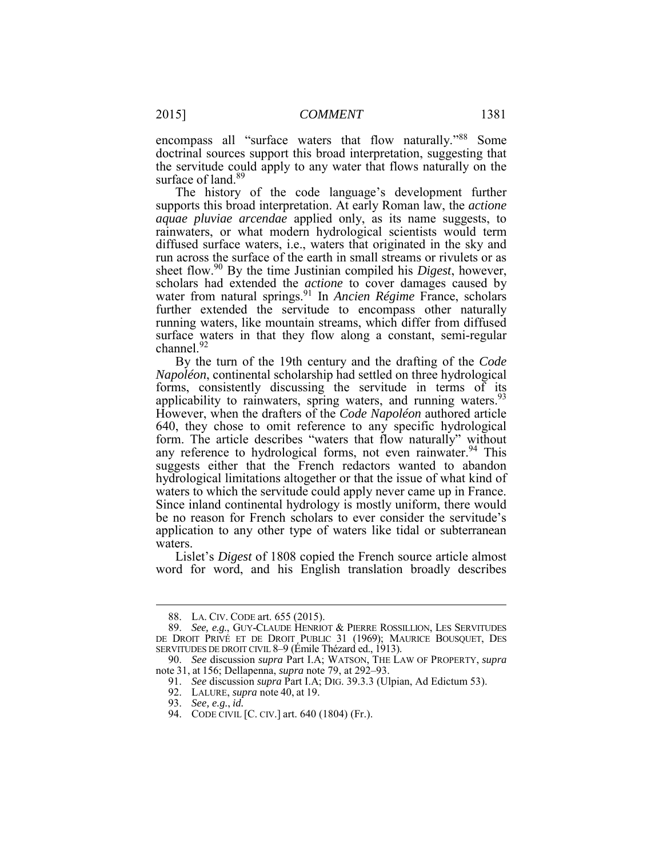encompass all "surface waters that flow naturally."88 Some the servitude could apply to any water that flows naturally on the doctrinal sources support this broad interpretation, suggesting that surface of land.<sup>89</sup>

 The history of the code language's development further supports this broad interpretation. At early Roman law, the *actione*  diffused surface waters, i.e., waters that originated in the sky and run across the surface of the earth in small streams or rivulets or as sheet flow.<sup>90</sup> By the time Justinian compiled his *Digest*, however, water from natural springs.91 In *Ancien Régime* France, scholars surface waters in that they flow along a constant, semi-regular channel.<sup>92</sup> *aquae pluviae arcendae* applied only, as its name suggests, to rainwaters, or what modern hydrological scientists would term scholars had extended the *actione* to cover damages caused by further extended the servitude to encompass other naturally running waters, like mountain streams, which differ from diffused

 forms, consistently discussing the servitude in terms of its 640, they chose to omit reference to any specific hydrological any reference to hydrological forms, not even rainwater.<sup>94</sup> This suggests either that the French redactors wanted to abandon hydrological limitations altogether or that the issue of what kind of Since inland continental hydrology is mostly uniform, there would application to any other type of waters like tidal or subterranean By the turn of the 19th century and the drafting of the *Code Napoléon*, continental scholarship had settled on three hydrological applicability to rainwaters, spring waters, and running waters.<sup>93</sup> However, when the drafters of the *Code Napoléon* authored article form. The article describes "waters that flow naturally" without waters to which the servitude could apply never came up in France. be no reason for French scholars to ever consider the servitude's waters.

 word for word, and his English translation broadly describes Lislet's *Digest* of 1808 copied the French source article almost

<sup>88.</sup> LA. CIV. CODE art. 655 (2015).

 DE DROIT PRIVÉ ET DE DROIT PUBLIC 31 (1969); MAURICE BOUSQUET, DES SERVITUDES DE DROIT CIVIL 8–9 (Émile Thézard ed., 1913). 89. *See, e.g.*, GUY-CLAUDE HENRIOT & PIERRE ROSSILLION, LES SERVITUDES

 90. *See* discussion *supra* Part I.A; WATSON, THE LAW OF PROPERTY, *supra*  note 31, at 156; Dellapenna, *supra* note 79, at 292–93.

 91. *See* discussion *supra* Part I.A; DIG. 39.3.3 (Ulpian, Ad Edictum 53).

<sup>92.</sup> LALURE, *supra* note 40, at 19.

<sup>93.</sup> *See, e.g.*, *id.* 

<sup>94.</sup> CODE CIVIL [C. CIV.] art. 640 (1804) (Fr.).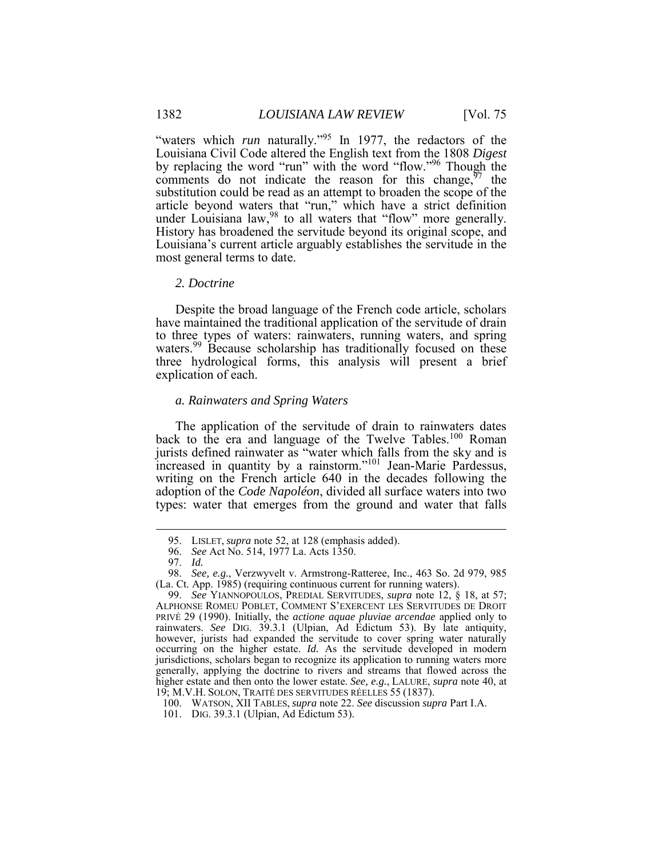"waters which *run* naturally."<sup>95</sup> In 1977, the redactors of the by replacing the word "run" with the word "flow."<sup>96</sup> Though the substitution could be read as an attempt to broaden the scope of the History has broadened the servitude beyond its original scope, and Louisiana's current article arguably establishes the servitude in the Louisiana Civil Code altered the English text from the 1808 *Digest*  comments do not indicate the reason for this change,  $\frac{97}{7}$  the article beyond waters that "run," which have a strict definition under Louisiana law, <sup>98</sup> to all waters that "flow" more generally. most general terms to date.

#### *2. Doctrine*

 to three types of waters: rainwaters, running waters, and spring Despite the broad language of the French code article, scholars have maintained the traditional application of the servitude of drain waters.<sup>99</sup> Because scholarship has traditionally focused on these three hydrological forms, this analysis will present a brief explication of each.

## *a. Rainwaters and Spring Waters*

 The application of the servitude of drain to rainwaters dates back to the era and language of the Twelve Tables.<sup>100</sup> Roman jurists defined rainwater as "water which falls from the sky and is increased in quantity by a rainstorm."<sup>101</sup> Jean-Marie Pardessus, writing on the French article 640 in the decades following the adoption of the *Code Napoléon*, divided all surface waters into two types: water that emerges from the ground and water that falls

<sup>95.</sup> LISLET, *supra* note 52, at 128 (emphasis added).

 96. *See* Act No. 514, 1977 La. Acts 1350.

<sup>97.</sup> *Id.* 

 98. *See, e.g.*, Verzwyvelt v. Armstrong-Ratteree, Inc., 463 So. 2d 979, 985 (La. Ct. App. 1985) (requiring continuous current for running waters).

 99. *See* YIANNOPOULOS, PREDIAL SERVITUDES, *supra* note 12, § 18, at 57; PRIVÉ 29 (1990). Initially, the *actione aquae pluviae arcendae* applied only to rainwaters. *See* DIG. 39.3.1 (Ulpian, Ad Edictum 53). By late antiquity, however, jurists had expanded the servitude to cover spring water naturally occurring on the higher estate. *Id.* As the servitude developed in modern jurisdictions, scholars began to recognize its application to running waters more generally, applying the doctrine to rivers and streams that flowed across the higher estate and then onto the lower estate. *See, e.g.*, LALURE, *supra* note 40, at 19; M.V.H. SOLON, TRAITÉ DES SERVITUDES RÉELLES 55 (1837). ALPHONSE ROMEU POBLET, COMMENT S'EXERCENT LES SERVITUDES DE DROIT

 100. WATSON, XII TABLES, *supra* note 22. *See* discussion *supra* Part I.A.

<sup>101.</sup> DIG. 39.3.1 (Ulpian, Ad Edictum 53).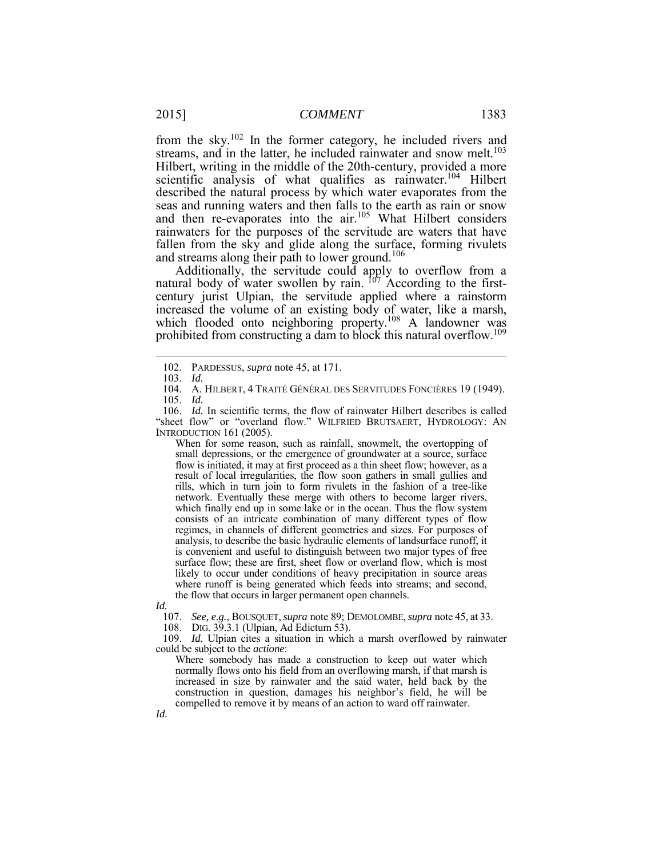from the sky.<sup>102</sup> In the former category, he included rivers and Hilbert, writing in the middle of the 20th-century, provided a more scientific analysis of what qualifies as rainwater.<sup>104</sup> Hilbert seas and running waters and then falls to the earth as rain or snow fallen from the sky and glide along the surface, forming rivulets and streams along their path to lower ground.<sup>106</sup> streams, and in the latter, he included rainwater and snow melt.<sup>103</sup> described the natural process by which water evaporates from the and then re-evaporates into the air.<sup>105</sup> What Hilbert considers rainwaters for the purposes of the servitude are waters that have

increased the volume of an existing body of water, like a marsh, Additionally, the servitude could apply to overflow from a natural body of water swollen by rain.  $107$  According to the firstcentury jurist Ulpian, the servitude applied where a rainstorm which flooded onto neighboring property.<sup>108</sup> A landowner was prohibited from constructing a dam to block this natural overflow.<sup>109</sup>

 $\overline{a}$ 

 When for some reason, such as rainfall, snowmelt, the overtopping of small depressions, or the emergence of groundwater at a source, surface flow is initiated, it may at first proceed as a thin sheet flow; however, as a result of local irregularities, the flow soon gathers in small gullies and rills, which in turn join to form rivulets in the fashion of a tree-like network. Eventually these merge with others to become larger rivers, which finally end up in some lake or in the ocean. Thus the flow system consists of an intricate combination of many different types of flow regimes, in channels of different geometries and sizes. For purposes of is convenient and useful to distinguish between two major types of free surface flow; these are first, sheet flow or overland flow, which is most where runoff is being generated which feeds into streams; and second, the flow that occurs in larger permanent open channels. analysis, to describe the basic hydraulic elements of landsurface runoff, it likely to occur under conditions of heavy precipitation in source areas

*Id.* 

107. *See, e.g.*, BOUSQUET, *supra* note 89; DEMOLOMBE,*supra* note 45, at 33.

108. DIG. 39.3.1 (Ulpian, Ad Edictum 53).

109. *Id.* Ulpian cites a situation in which a marsh overflowed by rainwater could be subject to the *actione*:

 Where somebody has made a construction to keep out water which normally flows onto his field from an overflowing marsh, if that marsh is construction in question, damages his neighbor's field, he will be compelled to remove it by means of an action to ward off rainwater. increased in size by rainwater and the said water, held back by the

<sup>102.</sup> PARDESSUS, *supra* note 45, at 171.

<sup>103.</sup> *Id.* 

<sup>104.</sup> A. HILBERT, 4 TRAITÉ GÉNÉRAL DES SERVITUDES FONCIÈRES 19 (1949). 105. *Id.* 

<sup>106.</sup> *Id.* In scientific terms, the flow of rainwater Hilbert describes is called "sheet flow" or "overland flow." WILFRIED BRUTSAERT, HYDROLOGY: AN INTRODUCTION 161 (2005).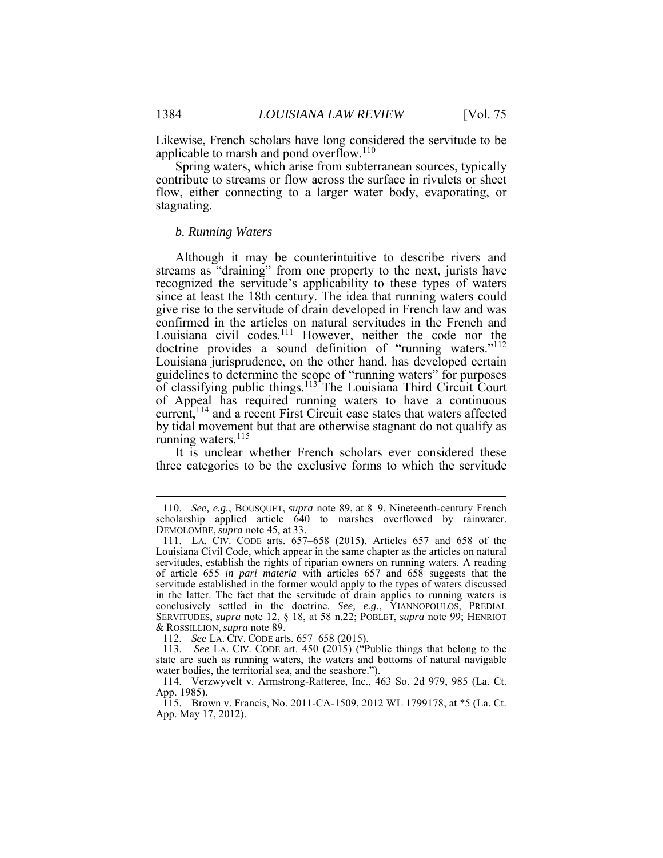Likewise, French scholars have long considered the servitude to be applicable to marsh and pond overflow.<sup>110</sup>

 contribute to streams or flow across the surface in rivulets or sheet flow, either connecting to a larger water body, evaporating, or stagnating. Spring waters, which arise from subterranean sources, typically

#### *b. Running Waters*

 Although it may be counterintuitive to describe rivers and recognized the servitude's applicability to these types of waters since at least the 18th century. The idea that running waters could give rise to the servitude of drain developed in French law and was Louisiana civil codes.<sup>111</sup> However, neither the code nor the guidelines to determine the scope of "running waters" for purposes of Appeal has required running waters to have a continuous current,<sup>114</sup> and a recent First Circuit case states that waters affected running waters.<sup>115</sup> streams as "draining" from one property to the next, jurists have confirmed in the articles on natural servitudes in the French and doctrine provides a sound definition of "running waters."<sup>112</sup> Louisiana jurisprudence, on the other hand, has developed certain of classifying public things.<sup>113</sup> The Louisiana Third Circuit Court by tidal movement but that are otherwise stagnant do not qualify as

 It is unclear whether French scholars ever considered these three categories to be the exclusive forms to which the servitude

 110. *See, e.g.*, BOUSQUET, *supra* note 89, at 8–9. Nineteenth-century French scholarship applied article 640 to marshes overflowed by rainwater. DEMOLOMBE, *supra* note 45, at 33.

 111. LA. CIV. CODE arts. 657–658 (2015). Articles 657 and 658 of the servitudes, establish the rights of riparian owners on running waters. A reading of article 655 *in pari materia* with articles 657 and 658 suggests that the servitude established in the former would apply to the types of waters discussed Louisiana Civil Code, which appear in the same chapter as the articles on natural in the latter. The fact that the servitude of drain applies to running waters is conclusively settled in the doctrine. *See, e.g.*, YIANNOPOULOS, PREDIAL SERVITUDES, *supra* note 12, § 18, at 58 n.22; POBLET, *supra* note 99; HENRIOT & ROSSILLION, *supra* note 89.

 112. *See* LA. CIV. CODE arts. 657–658 (2015).

 state are such as running waters, the waters and bottoms of natural navigable 113. *See* LA. CIV. CODE art. 450 (2015) ("Public things that belong to the water bodies, the territorial sea, and the seashore.").

 114. Verzwyvelt v. Armstrong-Ratteree, Inc., 463 So. 2d 979, 985 (La. Ct. App. 1985).

<sup>115.</sup> Brown v. Francis, No. 2011-CA-1509, 2012 WL 1799178, at \*5 (La. Ct. App. May 17, 2012).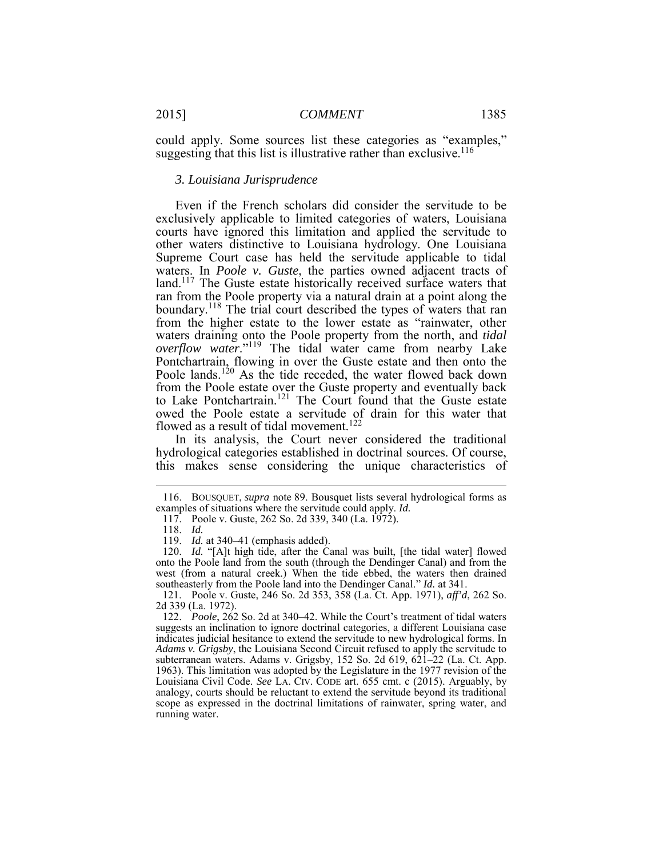could apply. Some sources list these categories as "examples," suggesting that this list is illustrative rather than exclusive.<sup>116</sup>

#### *3. Louisiana Jurisprudence*

 exclusively applicable to limited categories of waters, Louisiana courts have ignored this limitation and applied the servitude to Supreme Court case has held the servitude applicable to tidal waters. In *Poole v. Guste*, the parties owned adjacent tracts of land.<sup>117</sup> The Guste estate historically received surface waters that waters draining onto the Poole property from the north, and *tidal overflow water*."119 The tidal water came from nearby Lake owed the Poole estate a servitude of drain for this water that flowed as a result of tidal movement.<sup>122</sup> Even if the French scholars did consider the servitude to be other waters distinctive to Louisiana hydrology. One Louisiana ran from the Poole property via a natural drain at a point along the boundary.<sup>118</sup> The trial court described the types of waters that ran from the higher estate to the lower estate as "rainwater, other Pontchartrain, flowing in over the Guste estate and then onto the Poole lands.<sup>120</sup> As the tide receded, the water flowed back down from the Poole estate over the Guste property and eventually back to Lake Pontchartrain.<sup>121</sup> The Court found that the Guste estate

In its analysis, the Court never considered the traditional hydrological categories established in doctrinal sources. Of course, this makes sense considering the unique characteristics of

 examples of situations where the servitude could apply. *Id.*  116. BOUSQUET, *supra* note 89. Bousquet lists several hydrological forms as

<sup>117.</sup> Poole v. Guste, 262 So. 2d 339, 340 (La. 1972).

<sup>118.</sup> *Id.* 

 119. *Id.* at 340–41 (emphasis added).

 onto the Poole land from the south (through the Dendinger Canal) and from the 120. *Id.* "[A]t high tide, after the Canal was built, [the tidal water] flowed west (from a natural creek.) When the tide ebbed, the waters then drained southeasterly from the Poole land into the Dendinger Canal." *Id.* at 341.

<sup>121.</sup> Poole v. Guste, 246 So. 2d 353, 358 (La. Ct. App. 1971), *aff'd*, 262 So. 2d 339 (La. 1972).

 122. *Poole*, 262 So. 2d at 340–42. While the Court's treatment of tidal waters suggests an inclination to ignore doctrinal categories, a different Louisiana case indicates judicial hesitance to extend the servitude to new hydrological forms. In *Adams v. Grigsby*, the Louisiana Second Circuit refused to apply the servitude to subterranean waters. Adams v. Grigsby, 152 So. 2d 619, 621–22 (La. Ct. App. 1963). This limitation was adopted by the Legislature in the 1977 revision of the Louisiana Civil Code. *See* LA. CIV. CODE art. 655 cmt. c (2015). Arguably, by analogy, courts should be reluctant to extend the servitude beyond its traditional scope as expressed in the doctrinal limitations of rainwater, spring water, and running water.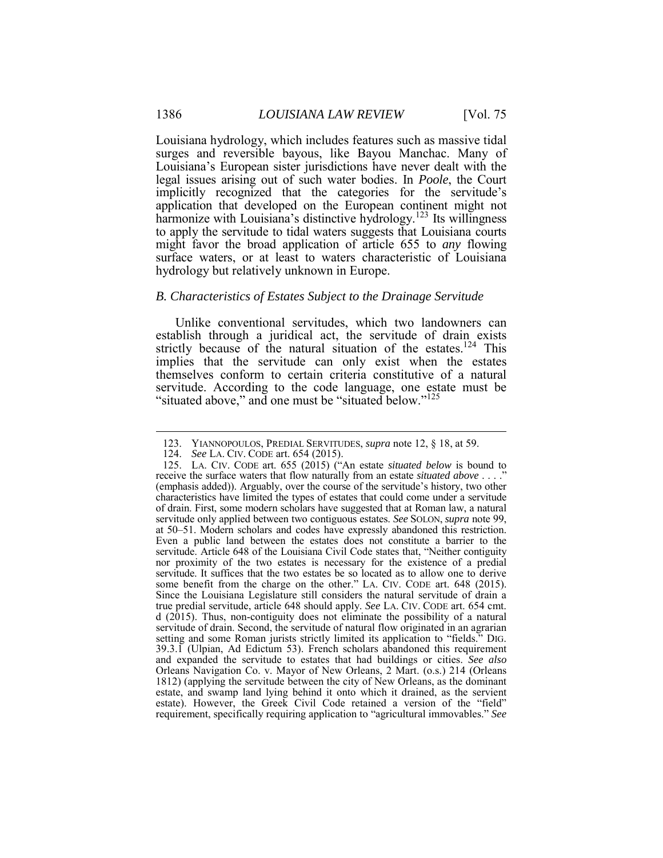Louisiana's European sister jurisdictions have never dealt with the legal issues arising out of such water bodies. In *Poole*, the Court implicitly recognized that the categories for the servitude's application that developed on the European continent might not harmonize with Louisiana's distinctive hydrology.<sup>123</sup> Its willingness to apply the servitude to tidal waters suggests that Louisiana courts might favor the broad application of article 655 to *any* flowing surface waters, or at least to waters characteristic of Louisiana Louisiana hydrology, which includes features such as massive tidal surges and reversible bayous, like Bayou Manchac. Many of hydrology but relatively unknown in Europe.

#### *B. Characteristics of Estates Subject to the Drainage Servitude*

 establish through a juridical act, the servitude of drain exists strictly because of the natural situation of the estates.<sup>124</sup> This implies that the servitude can only exist when the estates themselves conform to certain criteria constitutive of a natural "situated above," and one must be "situated below."<sup>125</sup> Unlike conventional servitudes, which two landowners can servitude. According to the code language, one estate must be

1

<sup>123.</sup> YIANNOPOULOS, PREDIAL SERVITUDES, *supra* note 12, § 18, at 59.

 124. *See* LA. CIV. CODE art. 654 (2015).

 125. LA. CIV. CODE art. 655 (2015) ("An estate *situated below* is bound to receive the surface waters that flow naturally from an estate *situated above* . . . ." (emphasis added)). Arguably, over the course of the servitude's history, two other of drain. First, some modern scholars have suggested that at Roman law, a natural servitude only applied between two contiguous estates. *See* SOLON, *supra* note 99, at 50–51. Modern scholars and codes have expressly abandoned this restriction. servitude. Article 648 of the Louisiana Civil Code states that, "Neither contiguity nor proximity of the two estates is necessary for the existence of a predial servitude. It suffices that the two estates be so located as to allow one to derive some benefit from the charge on the other." LA. CIV. CODE art. 648 (2015). Since the Louisiana Legislature still considers the natural servitude of drain a d (2015). Thus, non-contiguity does not eliminate the possibility of a natural servitude of drain. Second, the servitude of natural flow originated in an agrarian setting and some Roman jurists strictly limited its application to "fields." DIG. and expanded the servitude to estates that had buildings or cities. *See also*  Orleans Navigation Co. v. Mayor of New Orleans, 2 Mart. (o.s.) 214 (Orleans 1812) (applying the servitude between the city of New Orleans, as the dominant estate, and swamp land lying behind it onto which it drained, as the servient characteristics have limited the types of estates that could come under a servitude Even a public land between the estates does not constitute a barrier to the true predial servitude, article 648 should apply. *See* LA. CIV. CODE art. 654 cmt. 39.3.1 (Ulpian, Ad Edictum 53). French scholars abandoned this requirement estate). However, the Greek Civil Code retained a version of the "field" requirement, specifically requiring application to "agricultural immovables." *See*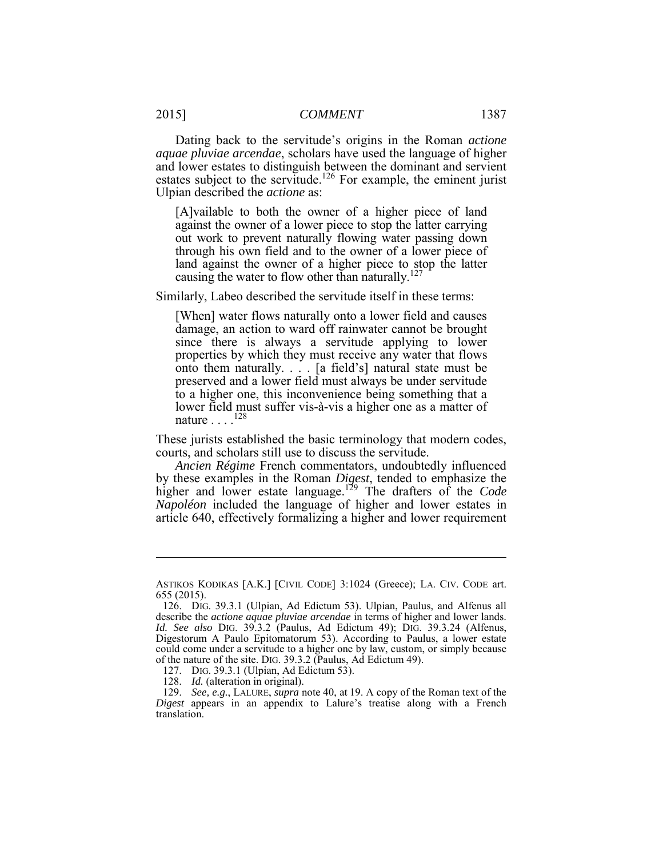Dating back to the servitude's origins in the Roman *actione*  estates subject to the servitude.<sup>126</sup> For example, the eminent jurist *aquae pluviae arcendae*, scholars have used the language of higher and lower estates to distinguish between the dominant and servient Ulpian described the *actione* as:

 [A]vailable to both the owner of a higher piece of land against the owner of a lower piece to stop the latter carrying out work to prevent naturally flowing water passing down through his own field and to the owner of a lower piece of land against the owner of a higher piece to stop the latter causing the water to flow other than naturally.<sup>127</sup>

Similarly, Labeo described the servitude itself in these terms:

 since there is always a servitude applying to lower properties by which they must receive any water that flows onto them naturally. . . . [a field's] natural state must be to a higher one, this inconvenience being something that a [When] water flows naturally onto a lower field and causes damage, an action to ward off rainwater cannot be brought preserved and a lower field must always be under servitude lower field must suffer vis-à-vis a higher one as a matter of nature . . . .<sup>128</sup>

These jurists established the basic terminology that modern codes, courts, and scholars still use to discuss the servitude.

 *Ancien Régime* French commentators, undoubtedly influenced by these examples in the Roman *Digest*, tended to emphasize the article 640, effectively formalizing a higher and lower requirement higher and lower estate language.<sup>129</sup> The drafters of the *Code Napoléon* included the language of higher and lower estates in

 ASTIKOS KODIKAS [A.K.] [CIVIL CODE] 3:1024 (Greece); LA. CIV. CODE art. 655 (2015).

 126. DIG. 39.3.1 (Ulpian, Ad Edictum 53). Ulpian, Paulus, and Alfenus all *Id. See also* DIG. 39.3.2 (Paulus, Ad Edictum 49); DIG. 39.3.24 (Alfenus, Digestorum A Paulo Epitomatorum 53). According to Paulus, a lower estate could come under a servitude to a higher one by law, custom, or simply because of the nature of the site. DIG. 39.3.2 (Paulus, Ad Edictum 49). describe the *actione aquae pluviae arcendae* in terms of higher and lower lands.

<sup>127.</sup> DIG. 39.3.1 (Ulpian, Ad Edictum 53).

 128. *Id.* (alteration in original).

 129. *See, e.g.*, LALURE, *supra* note 40, at 19. A copy of the Roman text of the *Digest* appears in an appendix to Lalure's treatise along with a French translation.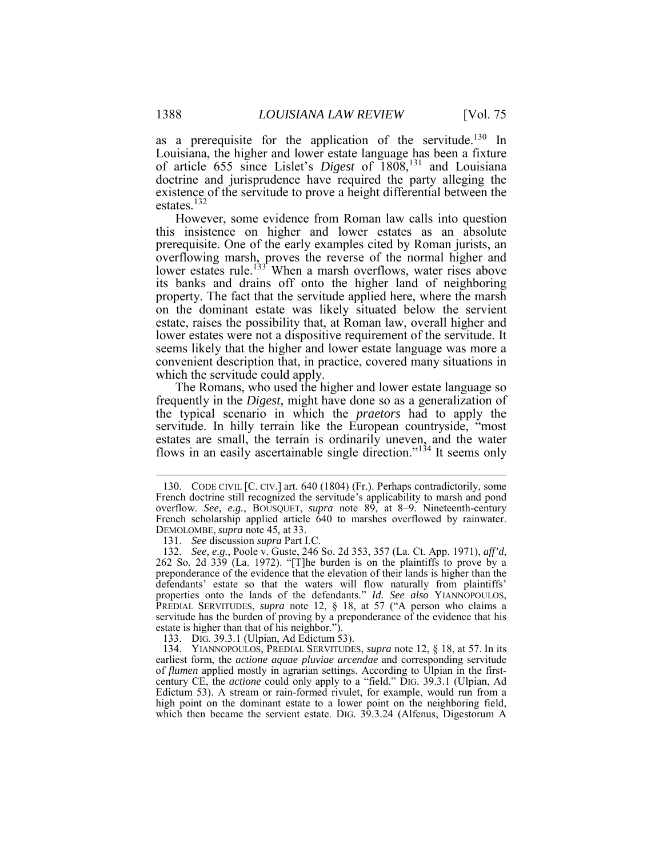doctrine and jurisprudence have required the party alleging the existence of the servitude to prove a height differential between the estates.<sup>132</sup> as a prerequisite for the application of the servitude.<sup>130</sup> In Louisiana, the higher and lower estate language has been a fixture of article 655 since Lislet's *Digest* of 1808,<sup>131</sup> and Louisiana

 However, some evidence from Roman law calls into question this insistence on higher and lower estates as an absolute prerequisite. One of the early examples cited by Roman jurists, an Ī on the dominant estate was likely situated below the servient estate, raises the possibility that, at Roman law, overall higher and lower estates were not a dispositive requirement of the servitude. It seems likely that the higher and lower estate language was more a overflowing marsh, proves the reverse of the normal higher and lower estates rule.<sup>133</sup> When a marsh overflows, water rises above its banks and drains off onto the higher land of neighboring property. The fact that the servitude applied here, where the marsh convenient description that, in practice, covered many situations in which the servitude could apply.

 The Romans, who used the higher and lower estate language so the typical scenario in which the *praetors* had to apply the servitude. In hilly terrain like the European countryside, "most frequently in the *Digest*, might have done so as a generalization of estates are small, the terrain is ordinarily uneven, and the water flows in an easily ascertainable single direction." $1<sup>34</sup>$  It seems only

133. DIG. 39.3.1 (Ulpian, Ad Edictum 53).

<u>.</u>

 French doctrine still recognized the servitude's applicability to marsh and pond French scholarship applied article 640 to marshes overflowed by rainwater. 130. CODE CIVIL [C. CIV.] art. 640 (1804) (Fr.). Perhaps contradictorily, some overflow. *See, e.g.*, BOUSQUET, *supra* note 89, at 8–9. Nineteenth-century DEMOLOMBE, *supra* note 45, at 33.

<sup>131.</sup> *See* discussion *supra* Part I.C.

 262 So. 2d 339 (La. 1972). "[T]he burden is on the plaintiffs to prove by a preponderance of the evidence that the elevation of their lands is higher than the properties onto the lands of the defendants." *Id. See also* YIANNOPOULOS, servitude has the burden of proving by a preponderance of the evidence that his estate is higher than that of his neighbor."). 132. *See, e.g.*, Poole v. Guste, 246 So. 2d 353, 357 (La. Ct. App. 1971), *aff'd*, defendants' estate so that the waters will flow naturally from plaintiffs' PREDIAL SERVITUDES, *supra* note 12, § 18, at 57 ("A person who claims a

 134. YIANNOPOULOS, PREDIAL SERVITUDES, *supra* note 12, § 18, at 57. In its of *flumen* applied mostly in agrarian settings. According to Ulpian in the first- century CE, the *actione* could only apply to a "field." DIG. 39.3.1 (Ulpian, Ad Edictum 53). A stream or rain-formed rivulet, for example, would run from a high point on the dominant estate to a lower point on the neighboring field, earliest form, the *actione aquae pluviae arcendae* and corresponding servitude which then became the servient estate. DIG. 39.3.24 (Alfenus, Digestorum A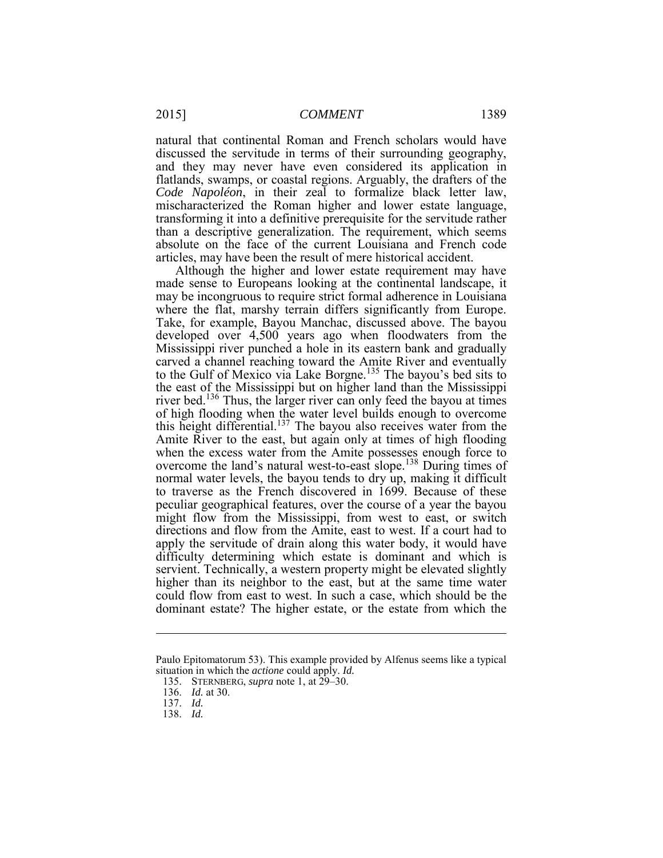discussed the servitude in terms of their surrounding geography, and they may never have even considered its application in *Code Napoléon*, in their zeal to formalize black letter law, transforming it into a definitive prerequisite for the servitude rather absolute on the face of the current Louisiana and French code natural that continental Roman and French scholars would have flatlands, swamps, or coastal regions. Arguably, the drafters of the mischaracterized the Roman higher and lower estate language, than a descriptive generalization. The requirement, which seems articles, may have been the result of mere historical accident.

 Although the higher and lower estate requirement may have may be incongruous to require strict formal adherence in Louisiana where the flat, marshy terrain differs significantly from Europe. carved a channel reaching toward the Amite River and eventually the east of the Mississippi but on higher land than the Mississippi river bed.<sup>136</sup> Thus, the larger river can only feed the bayou at times Amite River to the east, but again only at times of high flooding normal water levels, the bayou tends to dry up, making it difficult to traverse as the French discovered in 1699. Because of these servient. Technically, a western property might be elevated slightly dominant estate? The higher estate, or the estate from which the made sense to Europeans looking at the continental landscape, it Take, for example, Bayou Manchac, discussed above. The bayou developed over 4,500 years ago when floodwaters from the Mississippi river punched a hole in its eastern bank and gradually to the Gulf of Mexico via Lake Borgne.<sup>135</sup> The bayou's bed sits to of high flooding when the water level builds enough to overcome this height differential.<sup>137</sup> The bayou also receives water from the when the excess water from the Amite possesses enough force to overcome the land's natural west-to-east slope.<sup>138</sup> During times of peculiar geographical features, over the course of a year the bayou might flow from the Mississippi, from west to east, or switch directions and flow from the Amite, east to west. If a court had to apply the servitude of drain along this water body, it would have difficulty determining which estate is dominant and which is higher than its neighbor to the east, but at the same time water could flow from east to west. In such a case, which should be the

138. *Id.* 

1

 Paulo Epitomatorum 53). This example provided by Alfenus seems like a typical situation in which the *actione* could apply. *Id.* 

 135. STERNBERG, *supra* note 1, at 29–30.

<sup>136.</sup> *Id.* at 30.

<sup>137.</sup> *Id.*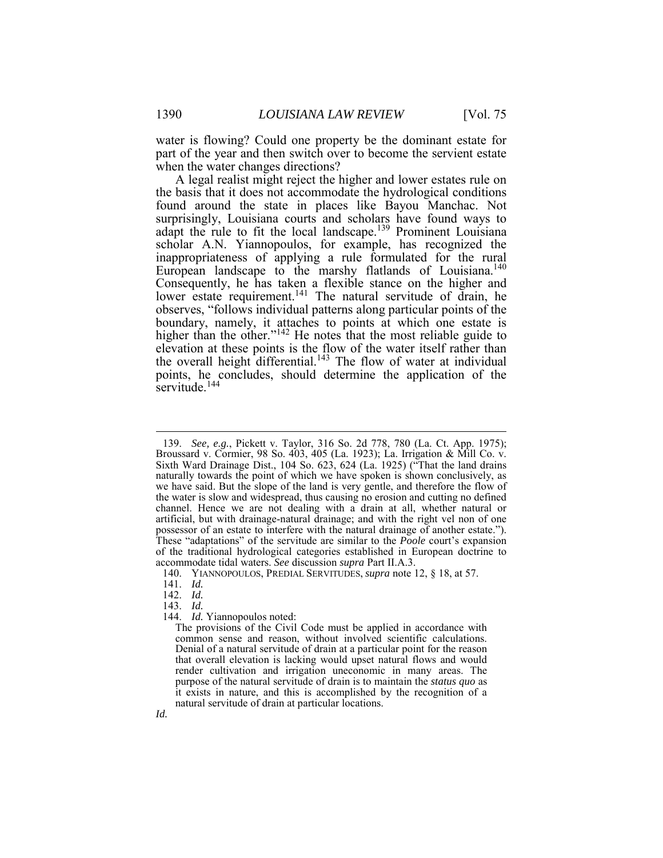water is flowing? Could one property be the dominant estate for part of the year and then switch over to become the servient estate when the water changes directions?

 A legal realist might reject the higher and lower estates rule on adapt the rule to fit the local landscape.<sup>139</sup> Prominent Louisiana inappropriateness of applying a rule formulated for the rural European landscape to the marshy flatlands of Louisiana.<sup>140</sup> lower estate requirement.<sup>141</sup> The natural servitude of drain, he the basis that it does not accommodate the hydrological conditions found around the state in places like Bayou Manchac. Not surprisingly, Louisiana courts and scholars have found ways to scholar A.N. Yiannopoulos, for example, has recognized the Consequently, he has taken a flexible stance on the higher and observes, "follows individual patterns along particular points of the boundary, namely, it attaches to points at which one estate is higher than the other."<sup>142</sup> He notes that the most reliable guide to elevation at these points is the flow of the water itself rather than the overall height differential.<sup>143</sup> The flow of water at individual points, he concludes, should determine the application of the servitude.<sup>144</sup>

1

142. *Id.* 

144. *Id.* Yiannopoulos noted:

 Broussard v. Cormier, 98 So. 403, 405 (La. 1923); La. Irrigation & Mill Co. v. Sixth Ward Drainage Dist., 104 So. 623, 624 (La. 1925) ("That the land drains naturally towards the point of which we have spoken is shown conclusively, as we have said. But the slope of the land is very gentle, and therefore the flow of the water is slow and widespread, thus causing no erosion and cutting no defined channel. Hence we are not dealing with a drain at all, whether natural or artificial, but with drainage-natural drainage; and with the right vel non of one possessor of an estate to interfere with the natural drainage of another estate."). of the traditional hydrological categories established in European doctrine to 139. *See, e.g.*, Pickett v. Taylor, 316 So. 2d 778, 780 (La. Ct. App. 1975); These "adaptations" of the servitude are similar to the *Poole* court's expansion accommodate tidal waters. *See* discussion *supra* Part II.A.3.

 140. YIANNOPOULOS, PREDIAL SERVITUDES, *supra* note 12, § 18, at 57.

<sup>141.</sup> *Id.* 

<sup>143.</sup> *Id.* 

 The provisions of the Civil Code must be applied in accordance with Denial of a natural servitude of drain at a particular point for the reason that overall elevation is lacking would upset natural flows and would render cultivation and irrigation uneconomic in many areas. The it exists in nature, and this is accomplished by the recognition of a common sense and reason, without involved scientific calculations. purpose of the natural servitude of drain is to maintain the *status quo* as natural servitude of drain at particular locations.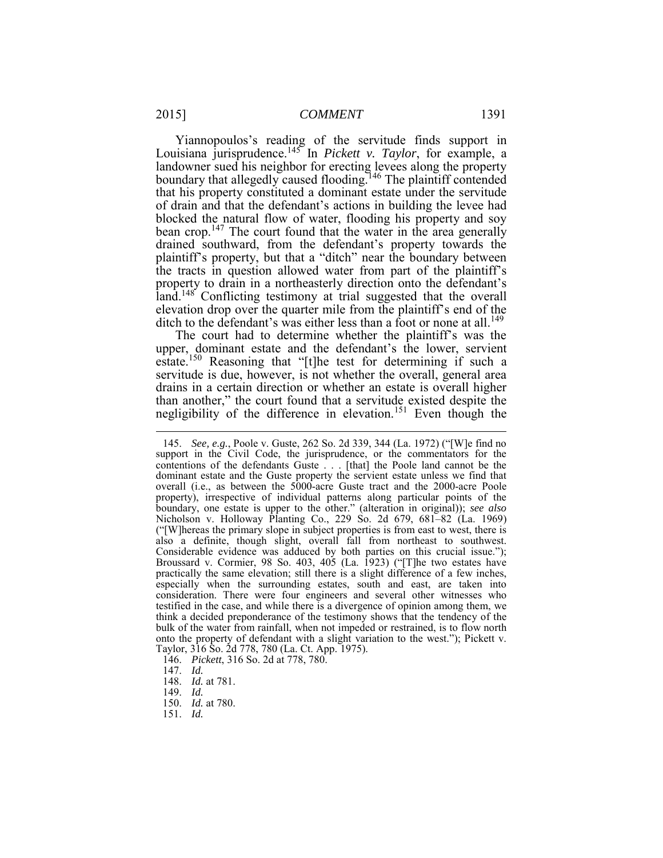that his property constituted a dominant estate under the servitude blocked the natural flow of water, flooding his property and soy plaintiff's property, but that a "ditch" near the boundary between the tracts in question allowed water from part of the plaintiff's land.<sup>148</sup> Conflicting testimony at trial suggested that the overall ditch to the defendant's was either less than a foot or none at all.<sup>149</sup> Yiannopoulos's reading of the servitude finds support in Louisiana jurisprudence.145 In *Pickett v. Taylor*, for example, a landowner sued his neighbor for erecting levees along the property boundary that allegedly caused flooding.<sup>146</sup> The plaintiff contended of drain and that the defendant's actions in building the levee had bean crop.<sup>147</sup> The court found that the water in the area generally drained southward, from the defendant's property towards the property to drain in a northeasterly direction onto the defendant's elevation drop over the quarter mile from the plaintiff's end of the

 The court had to determine whether the plaintiff's was the estate.<sup>150</sup> Reasoning that "[t]he test for determining if such a servitude is due, however, is not whether the overall, general area drains in a certain direction or whether an estate is overall higher negligibility of the difference in elevation.<sup>151</sup> Even though the upper, dominant estate and the defendant's the lower, servient than another," the court found that a servitude existed despite the

- 146. *Pickett*, 316 So. 2d at 778, 780.
- 

1

- 150. *Id.* at 780.
- 151. *Id.*

 support in the Civil Code, the jurisprudence, or the commentators for the overall (i.e., as between the 5000-acre Guste tract and the 2000-acre Poole property), irrespective of individual patterns along particular points of the ("[W]hereas the primary slope in subject properties is from east to west, there is Considerable evidence was adduced by both parties on this crucial issue."); Broussard v. Cormier, 98 So. 403, 405 (La. 1923) ("[T]he two estates have especially when the surrounding estates, south and east, are taken into consideration. There were four engineers and several other witnesses who testified in the case, and while there is a divergence of opinion among them, we bulk of the water from rainfall, when not impeded or restrained, is to flow north onto the property of defendant with a slight variation to the west."); Pickett v. 145. *See, e.g.*, Poole v. Guste, 262 So. 2d 339, 344 (La. 1972) ("[W]e find no contentions of the defendants Guste . . . [that] the Poole land cannot be the dominant estate and the Guste property the servient estate unless we find that boundary, one estate is upper to the other." (alteration in original)); *see also*  Nicholson v. Holloway Planting Co., 229 So. 2d 679, 681–82 (La. 1969) also a definite, though slight, overall fall from northeast to southwest. practically the same elevation; still there is a slight difference of a few inches, think a decided preponderance of the testimony shows that the tendency of the Taylor, 316 So. 2d 778, 780 (La. Ct. App. 1975).

 147. *Id.* 148. *Id.* at 781.

<sup>149.</sup> *Id.*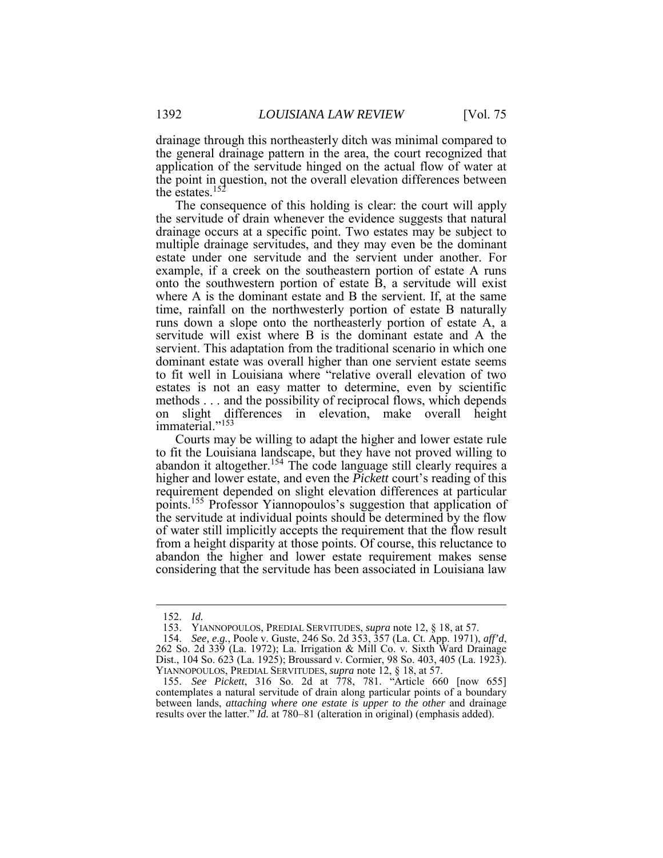drainage through this northeasterly ditch was minimal compared to the general drainage pattern in the area, the court recognized that application of the servitude hinged on the actual flow of water at the point in question, not the overall elevation differences between the estates.<sup>152</sup>

 The consequence of this holding is clear: the court will apply drainage occurs at a specific point. Two estates may be subject to multiple drainage servitudes, and they may even be the dominant onto the southwestern portion of estate B, a servitude will exist time, rainfall on the northwesterly portion of estate B naturally runs down a slope onto the northeasterly portion of estate A, a servitude will exist where B is the dominant estate and A the servient. This adaptation from the traditional scenario in which one dominant estate was overall higher than one servient estate seems to fit well in Louisiana where "relative overall elevation of two estates is not an easy matter to determine, even by scientific methods . . . and the possibility of reciprocal flows, which depends the servitude of drain whenever the evidence suggests that natural estate under one servitude and the servient under another. For example, if a creek on the southeastern portion of estate A runs where A is the dominant estate and B the servient. If, at the same on slight differences in elevation, make overall height immaterial."<sup>153</sup>

 Courts may be willing to adapt the higher and lower estate rule from a height disparity at those points. Of course, this reluctance to abandon the higher and lower estate requirement makes sense to fit the Louisiana landscape, but they have not proved willing to abandon it altogether.<sup>154</sup> The code language still clearly requires a higher and lower estate, and even the *Pickett* court's reading of this requirement depended on slight elevation differences at particular points.155 Professor Yiannopoulos's suggestion that application of the servitude at individual points should be determined by the flow of water still implicitly accepts the requirement that the flow result considering that the servitude has been associated in Louisiana law

<sup>152.</sup> *Id.* 

 153. YIANNOPOULOS, PREDIAL SERVITUDES, *supra* note 12, § 18, at 57.

<sup>262</sup> So. 2d 339 (La. 1972); La. Irrigation & Mill Co. v. Sixth Ward Drainage 154. *See, e.g.*, Poole v. Guste, 246 So. 2d 353, 357 (La. Ct. App. 1971), aff'd, Dist., 104 So. 623 (La. 1925); Broussard v. Cormier, 98 So. 403, 405 (La. 1923). YIANNOPOULOS, PREDIAL SERVITUDES, *supra* note 12, § 18, at 57.

 contemplates a natural servitude of drain along particular points of a boundary 155. *See Pickett*, 316 So. 2d at 778, 781. "Article 660 [now 655] between lands, *attaching where one estate is upper to the other* and drainage results over the latter." *Id.* at 780–81 (alteration in original) (emphasis added).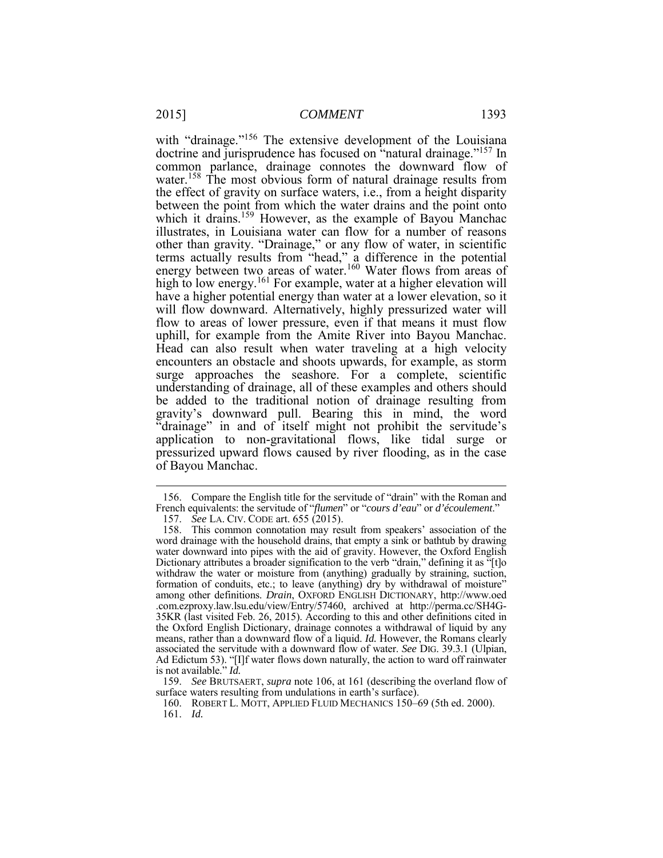the effect of gravity on surface waters, i.e., from a height disparity illustrates, in Louisiana water can flow for a number of reasons Ī have a higher potential energy than water at a lower elevation, so it will flow downward. Alternatively, highly pressurized water will flow to areas of lower pressure, even if that means it must flow uphill, for example from the Amite River into Bayou Manchac. Head can also result when water traveling at a high velocity be added to the traditional notion of drainage resulting from application to non-gravitational flows, like tidal surge or pressurized upward flows caused by river flooding, as in the case with "drainage."<sup>156</sup> The extensive development of the Louisiana doctrine and jurisprudence has focused on "natural drainage."157 In common parlance, drainage connotes the downward flow of water.<sup>158</sup> The most obvious form of natural drainage results from between the point from which the water drains and the point onto which it drains.<sup>159</sup> However, as the example of Bayou Manchac other than gravity. "Drainage," or any flow of water, in scientific terms actually results from "head," a difference in the potential energy between two areas of water.<sup>160</sup> Water flows from areas of high to low energy.<sup>161</sup> For example, water at a higher elevation will encounters an obstacle and shoots upwards, for example, as storm surge approaches the seashore. For a complete, scientific understanding of drainage, all of these examples and others should gravity's downward pull. Bearing this in mind, the word "drainage" in and of itself might not prohibit the servitude's of Bayou Manchac.

<u>.</u>

<sup>156.</sup> Compare the English title for the servitude of "drain" with the Roman and French equivalents: the servitude of "*flumen*" or "*cours d'eau*" or *d'écoulement*."

<sup>157.</sup> *See* LA. CIV. CODE art. 655 (2015).

 water downward into pipes with the aid of gravity. However, the Oxford English Dictionary attributes a broader signification to the verb "drain," defining it as "[t]o withdraw the water or moisture from (anything) gradually by straining, suction, among other definitions. *Drain*, OXFORD ENGLISH DICTIONARY, http://www.oed 35KR (last visited Feb. 26, 2015). According to this and other definitions cited in the Oxford English Dictionary, drainage connotes a withdrawal of liquid by any associated the servitude with a downward flow of water. *See* DIG. 39.3.1 (Ulpian, Ad Edictum 53). "[I]f water flows down naturally, the action to ward off rainwater 158. This common connotation may result from speakers' association of the word drainage with the household drains, that empty a sink or bathtub by drawing formation of conduits, etc.; to leave (anything) dry by withdrawal of moisture' .com.ezproxy.law.lsu.edu/view/Entry/57460, archived at http://perma.cc/SH4Gmeans, rather than a downward flow of a liquid. *Id.* However, the Romans clearly is not available." *Id.* 

 surface waters resulting from undulations in earth's surface). 159. *See* BRUTSAERT, *supra* note 106, at 161 (describing the overland flow of

 160. ROBERT L. MOTT, APPLIED FLUID MECHANICS 150–69 (5th ed. 2000). 161. *Id.*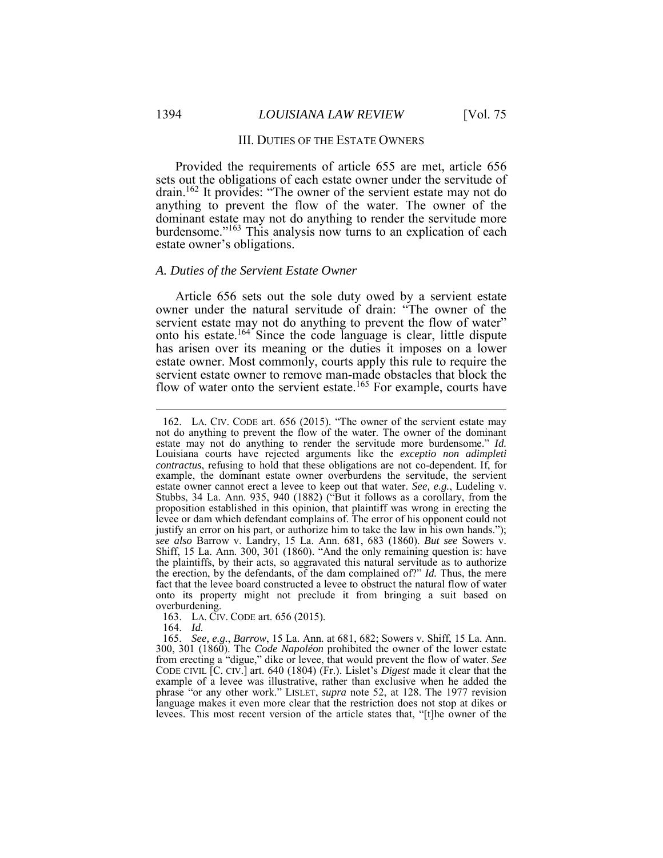## III. DUTIES OF THE ESTATE OWNERS

drain.<sup>162</sup> It provides: "The owner of the servient estate may not do Provided the requirements of article 655 are met, article 656 sets out the obligations of each estate owner under the servitude of anything to prevent the flow of the water. The owner of the dominant estate may not do anything to render the servitude more burdensome."<sup>163</sup> This analysis now turns to an explication of each estate owner's obligations.

#### *A. Duties of the Servient Estate Owner*

 Article 656 sets out the sole duty owed by a servient estate owner under the natural servitude of drain: "The owner of the servient estate may not do anything to prevent the flow of water" onto his estate.<sup>164</sup> Since the code language is clear, little dispute has arisen over its meaning or the duties it imposes on a lower estate owner. Most commonly, courts apply this rule to require the servient estate owner to remove man-made obstacles that block the flow of water onto the servient estate.<sup>165</sup> For example, courts have

163. LA. CIV. CODE art. 656 (2015).

164. *Id.* 

 $\overline{a}$ 

 165. *See, e.g.*, *Barrow*, 15 La. Ann. at 681, 682; Sowers v. Shiff, 15 La. Ann. from erecting a "digue," dike or levee, that would prevent the flow of water. *See*  CODE CIVIL [C. CIV.] art. 640 (1804) (Fr.). Lislet's *Digest* made it clear that the example of a levee was illustrative, rather than exclusive when he added the phrase "or any other work." LISLET, *supra* note 52, at 128. The 1977 revision language makes it even more clear that the restriction does not stop at dikes or levees. This most recent version of the article states that, "[t]he owner of the300, 301 (1860). The *Code Napoléon* prohibited the owner of the lower estate

 not do anything to prevent the flow of the water. The owner of the dominant *contractus*, refusing to hold that these obligations are not co-dependent. If, for example, the dominant estate owner overburdens the servitude, the servient justify an error on his part, or authorize him to take the law in his own hands."); Shiff, 15 La. Ann. 300, 301 (1860). "And the only remaining question is: have the plaintiffs, by their acts, so aggravated this natural servitude as to authorize the erection, by the defendants, of the dam complained of?" *Id.* Thus, the mere fact that the levee board constructed a levee to obstruct the natural flow of water onto its property might not preclude it from bringing a suit based on 162. LA. CIV. CODE art. 656 (2015). "The owner of the servient estate may estate may not do anything to render the servitude more burdensome." *Id.*  Louisiana courts have rejected arguments like the *exceptio non adimpleti*  estate owner cannot erect a levee to keep out that water. *See, e.g.*, Ludeling v. Stubbs, 34 La. Ann. 935, 940 (1882) ("But it follows as a corollary, from the proposition established in this opinion, that plaintiff was wrong in erecting the levee or dam which defendant complains of. The error of his opponent could not *see also* Barrow v. Landry, 15 La. Ann. 681, 683 (1860). *But see* Sowers v. overburdening.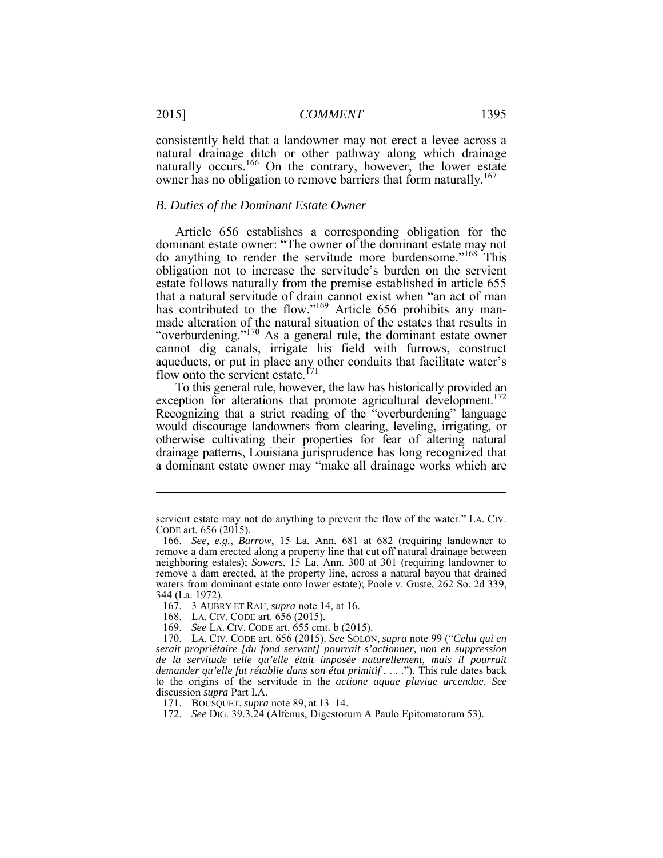consistently held that a landowner may not erect a levee across a natural drainage ditch or other pathway along which drainage naturally occurs.<sup>166</sup> On the contrary, however, the lower estate owner has no obligation to remove barriers that form naturally.<sup>167</sup>

#### *B. Duties of the Dominant Estate Owner*

 dominant estate owner: "The owner of the dominant estate may not do anything to render the servitude more burdensome."<sup>168</sup> This estate follows naturally from the premise established in article 655 "overburdening."<sup>170</sup> As a general rule, the dominant estate owner Article 656 establishes a corresponding obligation for the obligation not to increase the servitude's burden on the servient that a natural servitude of drain cannot exist when "an act of man has contributed to the flow."<sup>169</sup> Article 656 prohibits any manmade alteration of the natural situation of the estates that results in cannot dig canals, irrigate his field with furrows, construct aqueducts, or put in place any other conduits that facilitate water's flow onto the servient estate.<sup>171</sup>

 To this general rule, however, the law has historically provided an exception for alterations that promote agricultural development.<sup>172</sup> Recognizing that a strict reading of the "overburdening" language otherwise cultivating their properties for fear of altering natural drainage patterns, Louisiana jurisprudence has long recognized that a dominant estate owner may "make all drainage works which are would discourage landowners from clearing, leveling, irrigating, or

 servient estate may not do anything to prevent the flow of the water." LA. CIV. CODE art. 656 (2015).

 166. *See, e.g.*, *Barrow*, 15 La. Ann. 681 at 682 (requiring landowner to remove a dam erected along a property line that cut off natural drainage between neighboring estates); *Sowers*, 15 La. Ann. 300 at 301 (requiring landowner to remove a dam erected, at the property line, across a natural bayou that drained waters from dominant estate onto lower estate); Poole v. Guste, 262 So. 2d 339, 344 (La. 1972).

<sup>167. 3</sup> AUBRY ET RAU, *supra* note 14, at 16.

<sup>168.</sup> LA. CIV. CODE art. 656 (2015).

 169. *See* LA. CIV. CODE art. 655 cmt. b (2015).

 170. LA. CIV. CODE art. 656 (2015). *See* SOLON, *supra* note 99 ("*Celui qui en demander qu'elle fut rétablie dans son état primitif . . . .*"). This rule dates back *serait propriétaire [du fond servant] pourrait s'actionner, non en suppression de la servitude telle qu'elle était imposée naturellement, mais il pourrait*  to the origins of the servitude in the *actione aquae pluviae arcendae*. *See*  discussion *supra* Part I.A.

<sup>171.</sup> BOUSQUET, *supra* note 89, at 13–14.

<sup>172.</sup> *See* DIG. 39.3.24 (Alfenus, Digestorum A Paulo Epitomatorum 53).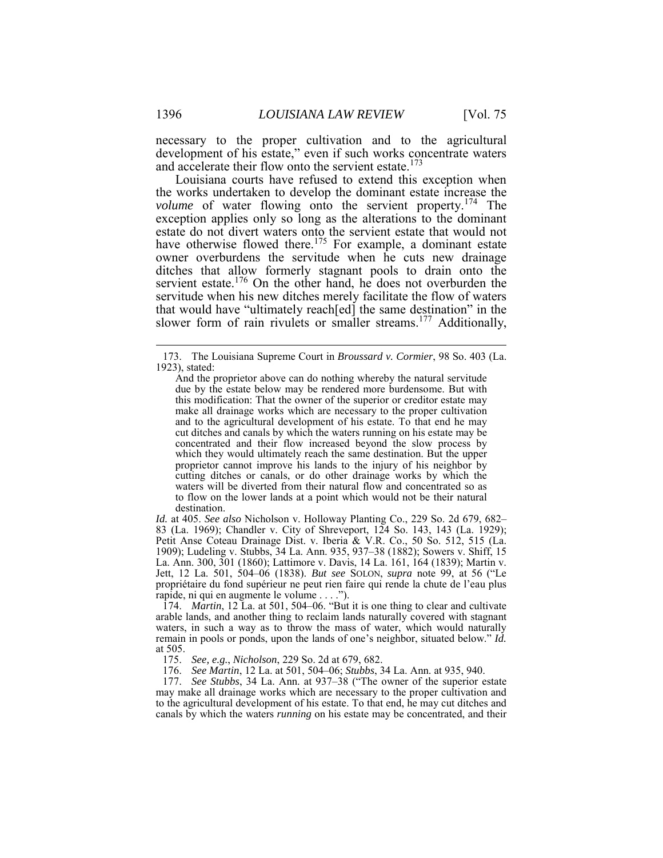necessary to the proper cultivation and to the agricultural development of his estate," even if such works concentrate waters and accelerate their flow onto the servient estate.<sup>173</sup>

 the works undertaken to develop the dominant estate increase the ditches that allow formerly stagnant pools to drain onto the servitude when his new ditches merely facilitate the flow of waters slower form of rain rivulets or smaller streams.<sup>177</sup> Additionally, Louisiana courts have refused to extend this exception when volume of water flowing onto the servient property.<sup>174</sup> The exception applies only so long as the alterations to the dominant estate do not divert waters onto the servient estate that would not have otherwise flowed there.<sup>175</sup> For example, a dominant estate owner overburdens the servitude when he cuts new drainage servient estate.<sup>176</sup> On the other hand, he does not overburden the that would have "ultimately reach[ed] the same destination" in the

 *Id.* at 405. *See also* Nicholson v. Holloway Planting Co., 229 So. 2d 679, 682– 83 (La. 1969); Chandler v. City of Shreveport, 124 So. 143, 143 (La. 1929); 1909); Ludeling v. Stubbs, 34 La. Ann. 935, 937–38 (1882); Sowers v. Shiff, 15 Jett, 12 La. 501, 504–06 (1838). *But see* SOLON, *supra* note 99, at 56 ("Le propriétaire du fond supérieur ne peut rien faire qui rende la chute de l'eau plus Petit Anse Coteau Drainage Dist. v. Iberia & V.R. Co., 50 So. 512, 515 (La. La. Ann. 300, 301 (1860); Lattimore v. Davis, 14 La. 161, 164 (1839); Martin v. rapide, ni qui en augmente le volume . . . .").

 waters, in such a way as to throw the mass of water, which would naturally 174. *Martin*, 12 La. at 501, 504–06. "But it is one thing to clear and cultivate arable lands, and another thing to reclaim lands naturally covered with stagnant remain in pools or ponds, upon the lands of one's neighbor, situated below." *Id.*  at 505.

175. *See, e.g.*, *Nicholson*, 229 So. 2d at 679, 682.

176. *See Martin*, 12 La. at 501, 504–06; *Stubbs*, 34 La. Ann. at 935, 940.

 177. *See Stubbs*, 34 La. Ann. at 937–38 ("The owner of the superior estate may make all drainage works which are necessary to the proper cultivation and canals by which the waters *running* on his estate may be concentrated, and their to the agricultural development of his estate. To that end, he may cut ditches and

<sup>173.</sup> The Louisiana Supreme Court in *Broussard v. Cormier*, 98 So. 403 (La. 1923), stated:

 due by the estate below may be rendered more burdensome. But with this modification: That the owner of the superior or creditor estate may make all drainage works which are necessary to the proper cultivation and to the agricultural development of his estate. To that end he may cut ditches and canals by which the waters running on his estate may be concentrated and their flow increased beyond the slow process by which they would ultimately reach the same destination. But the upper proprietor cannot improve his lands to the injury of his neighbor by cutting ditches or canals, or do other drainage works by which the waters will be diverted from their natural flow and concentrated so as to flow on the lower lands at a point which would not be their natural And the proprietor above can do nothing whereby the natural servitude destination.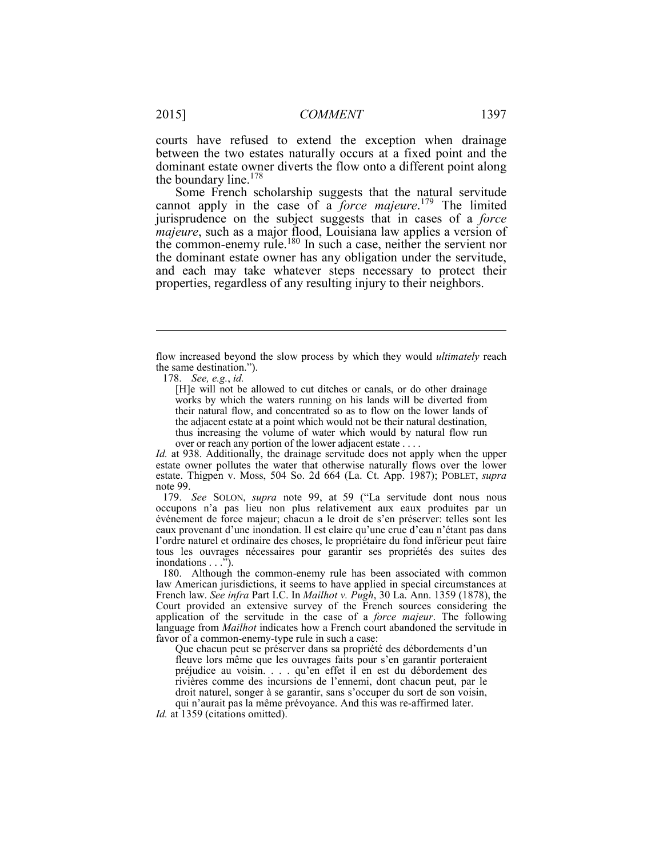dominant estate owner diverts the flow onto a different point along the boundary line.<sup>178</sup> courts have refused to extend the exception when drainage between the two estates naturally occurs at a fixed point and the

 Some French scholarship suggests that the natural servitude cannot apply in the case of a *force majeure*. <sup>179</sup> The limited and each may take whatever steps necessary to protect their properties, regardless of any resulting injury to their neighbors. jurisprudence on the subject suggests that in cases of a *force majeure*, such as a major flood, Louisiana law applies a version of the common-enemy rule.<sup>180</sup> In such a case, neither the servient nor the dominant estate owner has any obligation under the servitude,

178. *See, e.g.*, *id.* 

 $\overline{a}$ 

 [H]e will not be allowed to cut ditches or canals, or do other drainage works by which the waters running on his lands will be diverted from the adjacent estate at a point which would not be their natural destination, thus increasing the volume of water which would by natural flow run their natural flow, and concentrated so as to flow on the lower lands of over or reach any portion of the lower adjacent estate . . . .

 *Id.* at 938. Additionally, the drainage servitude does not apply when the upper estate owner pollutes the water that otherwise naturally flows over the lower estate. Thigpen v. Moss, 504 So. 2d 664 (La. Ct. App. 1987); POBLET, *supra*  note 99.

 179. *See* SOLON, *supra* note 99, at 59 ("La servitude dont nous nous eaux provenant d'une inondation. Il est claire qu'une crue d'eau n'étant pas dans l'ordre naturel et ordinaire des choses, le propriétaire du fond inférieur peut faire occupons n'a pas lieu non plus relativement aux eaux produites par un événement de force majeur; chacun a le droit de s'en préserver: telles sont les tous les ouvrages nécessaires pour garantir ses propriétés des suites des inondations . . .").

 180. Although the common-enemy rule has been associated with common language from *Mailhot* indicates how a French court abandoned the servitude in favor of a common-enemy-type rule in such a case: law American jurisdictions, it seems to have applied in special circumstances at French law. *See infra* Part I.C. In *Mailhot v. Pugh*, 30 La. Ann. 1359 (1878), the Court provided an extensive survey of the French sources considering the application of the servitude in the case of a *force majeur*. The following

 Que chacun peut se préserver dans sa propriété des débordements d'un fleuve lors même que les ouvrages faits pour s'en garantir porteraient rivières comme des incursions de l'ennemi, dont chacun peut, par le droit naturel, songer à se garantir, sans s'occuper du sort de son voisin, préjudice au voisin. . . . qu'en effet il en est du débordement des qui n'aurait pas la même prévoyance. And this was re-affirmed later.

*Id.* at 1359 (citations omitted).

 flow increased beyond the slow process by which they would *ultimately* reach the same destination.").